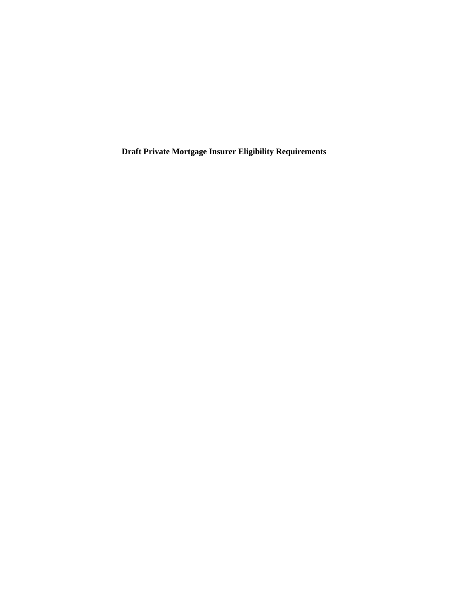**Draft Private Mortgage Insurer Eligibility Requirements**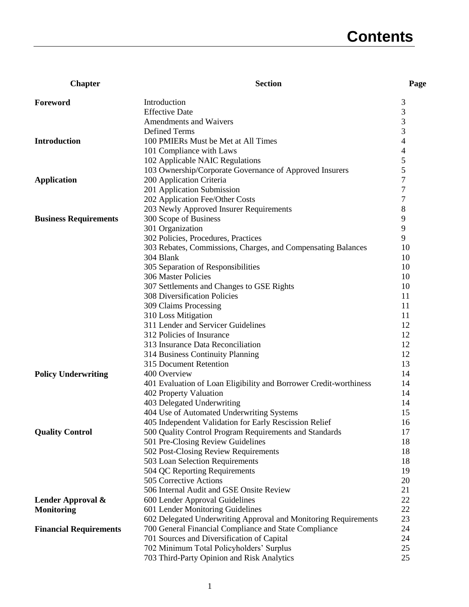# **Contents**

| <b>Chapter</b>                | <b>Section</b>                                                    | Page           |
|-------------------------------|-------------------------------------------------------------------|----------------|
| Foreword                      | Introduction                                                      | 3              |
|                               | <b>Effective Date</b>                                             | 3              |
|                               | Amendments and Waivers                                            | 3              |
|                               | <b>Defined Terms</b>                                              | 3              |
| <b>Introduction</b>           | 100 PMIERs Must be Met at All Times                               | 4              |
|                               | 101 Compliance with Laws                                          | 4              |
|                               | 102 Applicable NAIC Regulations                                   | 5              |
|                               | 103 Ownership/Corporate Governance of Approved Insurers           | 5              |
| <b>Application</b>            | 200 Application Criteria                                          | 7              |
|                               | 201 Application Submission                                        | 7              |
|                               | 202 Application Fee/Other Costs                                   | $\overline{7}$ |
|                               | 203 Newly Approved Insurer Requirements                           | 8              |
| <b>Business Requirements</b>  | 300 Scope of Business                                             | 9              |
|                               | 301 Organization                                                  | 9              |
|                               | 302 Policies, Procedures, Practices                               | 9              |
|                               | 303 Rebates, Commissions, Charges, and Compensating Balances      | 10             |
|                               | 304 Blank                                                         | 10             |
|                               | 305 Separation of Responsibilities                                | 10             |
|                               | 306 Master Policies                                               | 10             |
|                               | 307 Settlements and Changes to GSE Rights                         | 10             |
|                               | <b>308 Diversification Policies</b>                               | 11             |
|                               | 309 Claims Processing                                             | 11             |
|                               | 310 Loss Mitigation                                               | 11             |
|                               | 311 Lender and Servicer Guidelines                                | 12             |
|                               | 312 Policies of Insurance                                         | 12             |
|                               | 313 Insurance Data Reconciliation                                 | 12             |
|                               | 314 Business Continuity Planning                                  | 12             |
|                               | 315 Document Retention                                            | 13             |
| <b>Policy Underwriting</b>    | 400 Overview                                                      | 14             |
|                               | 401 Evaluation of Loan Eligibility and Borrower Credit-worthiness | 14             |
|                               | 402 Property Valuation                                            | 14             |
|                               | 403 Delegated Underwriting                                        | 14             |
|                               | 404 Use of Automated Underwriting Systems                         | 15             |
|                               | 405 Independent Validation for Early Rescission Relief            | 16             |
| <b>Quality Control</b>        | 500 Quality Control Program Requirements and Standards            | 17             |
|                               | 501 Pre-Closing Review Guidelines                                 | 18             |
|                               | 502 Post-Closing Review Requirements                              | 18             |
|                               | 503 Loan Selection Requirements                                   | 18             |
|                               | 504 QC Reporting Requirements                                     | 19             |
|                               | 505 Corrective Actions                                            | 20             |
|                               | 506 Internal Audit and GSE Onsite Review                          | 21             |
| Lender Approval &             | 600 Lender Approval Guidelines                                    | 22             |
| <b>Monitoring</b>             | 601 Lender Monitoring Guidelines                                  | 22             |
|                               | 602 Delegated Underwriting Approval and Monitoring Requirements   | 23             |
| <b>Financial Requirements</b> | 700 General Financial Compliance and State Compliance             | 24             |
|                               | 701 Sources and Diversification of Capital                        | 24             |
|                               | 702 Minimum Total Policyholders' Surplus                          | 25             |
|                               | 703 Third-Party Opinion and Risk Analytics                        | 25             |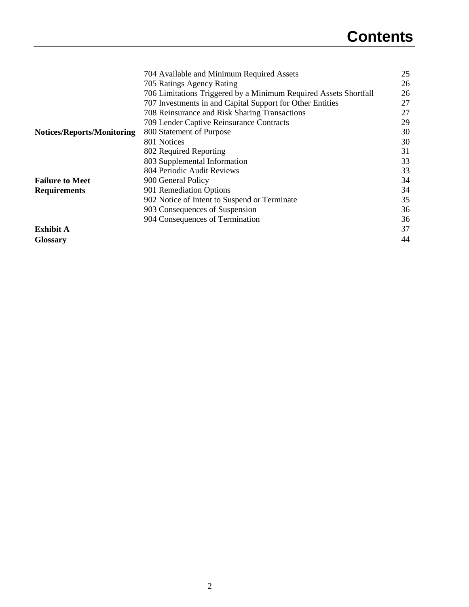|                                   | 704 Available and Minimum Required Assets                        | 25 |
|-----------------------------------|------------------------------------------------------------------|----|
|                                   | 705 Ratings Agency Rating                                        | 26 |
|                                   | 706 Limitations Triggered by a Minimum Required Assets Shortfall | 26 |
|                                   | 707 Investments in and Capital Support for Other Entities        | 27 |
|                                   | 708 Reinsurance and Risk Sharing Transactions                    | 27 |
|                                   | 709 Lender Captive Reinsurance Contracts                         | 29 |
| <b>Notices/Reports/Monitoring</b> | 800 Statement of Purpose                                         | 30 |
|                                   | 801 Notices                                                      | 30 |
|                                   | 802 Required Reporting                                           | 31 |
|                                   | 803 Supplemental Information                                     | 33 |
|                                   | 804 Periodic Audit Reviews                                       | 33 |
| <b>Failure to Meet</b>            | 900 General Policy                                               | 34 |
| <b>Requirements</b>               | 901 Remediation Options                                          | 34 |
|                                   | 902 Notice of Intent to Suspend or Terminate                     | 35 |
|                                   | 903 Consequences of Suspension                                   | 36 |
|                                   | 904 Consequences of Termination                                  | 36 |
| <b>Exhibit A</b>                  |                                                                  | 37 |
| <b>Glossary</b>                   |                                                                  | 44 |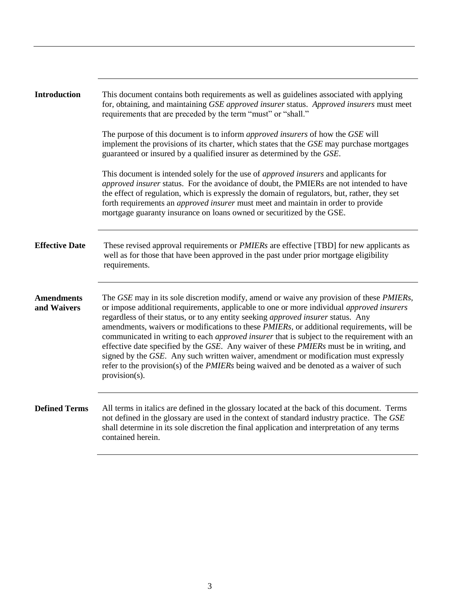| <b>Introduction</b>              | This document contains both requirements as well as guidelines associated with applying<br>for, obtaining, and maintaining GSE approved insurer status. Approved insurers must meet<br>requirements that are preceded by the term "must" or "shall."                                                                                                                                                                                                                                                                                                                                                                                                                                                                                                                         |
|----------------------------------|------------------------------------------------------------------------------------------------------------------------------------------------------------------------------------------------------------------------------------------------------------------------------------------------------------------------------------------------------------------------------------------------------------------------------------------------------------------------------------------------------------------------------------------------------------------------------------------------------------------------------------------------------------------------------------------------------------------------------------------------------------------------------|
|                                  | The purpose of this document is to inform <i>approved insurers</i> of how the GSE will<br>implement the provisions of its charter, which states that the GSE may purchase mortgages<br>guaranteed or insured by a qualified insurer as determined by the GSE.                                                                                                                                                                                                                                                                                                                                                                                                                                                                                                                |
|                                  | This document is intended solely for the use of <i>approved insurers</i> and applicants for<br>approved insurer status. For the avoidance of doubt, the PMIERs are not intended to have<br>the effect of regulation, which is expressly the domain of regulators, but, rather, they set<br>forth requirements an <i>approved insurer</i> must meet and maintain in order to provide<br>mortgage guaranty insurance on loans owned or securitized by the GSE.                                                                                                                                                                                                                                                                                                                 |
| <b>Effective Date</b>            | These revised approval requirements or <i>PMIERs</i> are effective [TBD] for new applicants as<br>well as for those that have been approved in the past under prior mortgage eligibility<br>requirements.                                                                                                                                                                                                                                                                                                                                                                                                                                                                                                                                                                    |
| <b>Amendments</b><br>and Waivers | The GSE may in its sole discretion modify, amend or waive any provision of these PMIERs,<br>or impose additional requirements, applicable to one or more individual approved insurers<br>regardless of their status, or to any entity seeking approved insurer status. Any<br>amendments, waivers or modifications to these PMIERs, or additional requirements, will be<br>communicated in writing to each <i>approved insurer</i> that is subject to the requirement with an<br>effective date specified by the GSE. Any waiver of these PMIERs must be in writing, and<br>signed by the GSE. Any such written waiver, amendment or modification must expressly<br>refer to the provision(s) of the PMIERs being waived and be denoted as a waiver of such<br>provision(s). |
| <b>Defined Terms</b>             | All terms in italics are defined in the glossary located at the back of this document. Terms<br>not defined in the glossary are used in the context of standard industry practice. The GSE<br>shall determine in its sole discretion the final application and interpretation of any terms<br>contained herein.                                                                                                                                                                                                                                                                                                                                                                                                                                                              |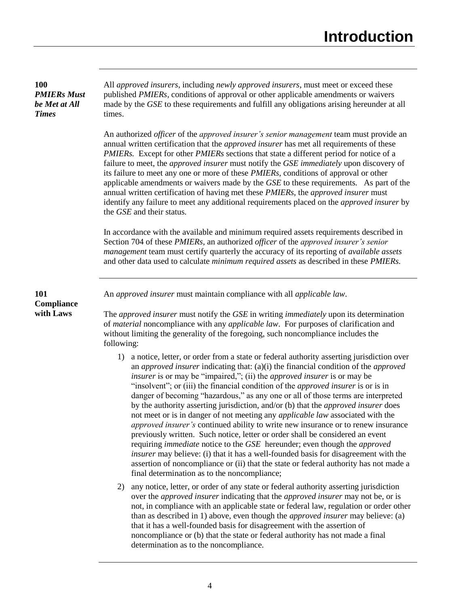## **100** *PMIERs Must be Met at All Times*

All *approved insurers*, including *newly approved insurers*, must meet or exceed these published *PMIERs*, conditions of approval or other applicable amendments or waivers made by the *GSE* to these requirements and fulfill any obligations arising hereunder at all times.

An authorized *officer* of the *approved insurer's senior management* team must provide an annual written certification that the *approved insurer* has met all requirements of these *PMIERs.* Except for other *PMIERs* sections that state a different period for notice of a failure to meet, the *approved insurer* must notify the *GSE immediately* upon discovery of its failure to meet any one or more of these *PMIERs,* conditions of approval or other applicable amendments or waivers made by the *GSE* to these requirements*.* As part of the annual written certification of having met these *PMIERs*, the *approved insurer* must identify any failure to meet any additional requirements placed on the *approved insurer* by the *GSE* and their status*.*

In accordance with the available and minimum required assets requirements described in Section 704 of these *PMIERs*, an authorized *officer* of the *approved insurer's senior management* team must certify quarterly the accuracy of its reporting of *available assets* and other data used to calculate *minimum required assets* as described in these *PMIERs.*

**101 Compliance with Laws**

An *approved insurer* must maintain compliance with all *applicable law*.

The *approved insurer* must notify the *GSE* in writing *immediately* upon its determination of *material* noncompliance with any *applicable law*. For purposes of clarification and without limiting the generality of the foregoing, such noncompliance includes the following:

- 1) a notice, letter, or order from a state or federal authority asserting jurisdiction over an *approved insurer* indicating that: (a)(i) the financial condition of the *approved insurer* is or may be "impaired,"; (ii) the *approved insurer* is or may be "insolvent"; or (iii) the financial condition of the *approved insurer* is or is in danger of becoming "hazardous," as any one or all of those terms are interpreted by the authority asserting jurisdiction, and/or (b) that the *approved insurer* does not meet or is in danger of not meeting any *applicable law* associated with the *approved insurer's* continued ability to write new insurance or to renew insurance previously written. Such notice, letter or order shall be considered an event requiring *immediate* notice to the *GSE* hereunder; even though the *approved insurer* may believe: (i) that it has a well-founded basis for disagreement with the assertion of noncompliance or (ii) that the state or federal authority has not made a final determination as to the noncompliance;
- 2) any notice, letter, or order of any state or federal authority asserting jurisdiction over the *approved insurer* indicating that the *approved insurer* may not be, or is not, in compliance with an applicable state or federal law, regulation or order other than as described in 1) above, even though the *approved insurer* may believe: (a) that it has a well-founded basis for disagreement with the assertion of noncompliance or (b) that the state or federal authority has not made a final determination as to the noncompliance.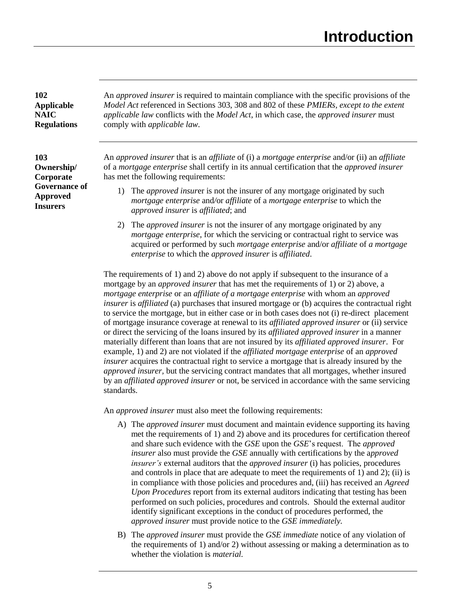**102 Applicable NAIC Regulations**

**103 Ownership/ Corporate Governance of Approved Insurers**

An *approved insurer* is required to maintain compliance with the specific provisions of the *Model Act* referenced in Sections 303, 308 and 802 of these *PMIERs, except to the extent applicable law* conflicts with the *Model Act*, in which case, the *approved insurer* must comply with *applicable law*.

An *approved insurer* that is an *affiliate* of (i) a *mortgage enterprise* and/or (ii) an *affiliate* of a *mortgage enterprise* shall certify in its annual certification that the *approved insurer* has met the following requirements:

- 1) The *approved insur*er is not the insurer of any mortgage originated by such *mortgage enterprise* and*/*or *affiliate* of a *mortgage enterprise* to which the *approved insurer* is *affiliated*; and
- 2) The *approved insurer* is not the insurer of any mortgage originated by any *mortgage enterprise*, for which the servicing or contractual right to service was acquired or performed by such *mortgage enterprise* and/or *affiliate* of *a mortgage enterprise* to which the *approved insurer* is *affiliated*.

The requirements of 1) and 2) above do not apply if subsequent to the insurance of a mortgage by an *approved insurer* that has met the requirements of 1) or 2) above, a *mortgage enterprise* or an *affiliate of a mortgage enterprise* with whom an *approved insurer* is *affiliated* (a) purchases that insured mortgage or (b) acquires the contractual right to service the mortgage, but in either case or in both cases does not (i) re-direct placement of mortgage insurance coverage at renewal to its *affiliated approved insurer* or (ii) service or direct the servicing of the loans insured by its *affiliated approved insurer* in a manner materially different than loans that are not insured by its *affiliated approved insurer*. For example, 1) and 2) are not violated if the *affiliated mortgage enterprise* of an *approved insurer* acquires the contractual right to service a mortgage that is already insured by the *approved insurer,* but the servicing contract mandates that all mortgages, whether insured by an *affiliated approved insurer* or not, be serviced in accordance with the same servicing standards.

An *approved insurer* must also meet the following requirements:

- A) The *approved insurer* must document and maintain evidence supporting its having met the requirements of 1) and 2) above and its procedures for certification thereof and share such evidence with the *GSE* upon the *GSE*'s request. The *approved insurer* also must provide the *GSE* annually with certifications by the a*pproved insurer's* external auditors that the *approved insurer* (i) has policies, procedures and controls in place that are adequate to meet the requirements of 1) and 2); (ii) is in compliance with those policies and procedures and, (iii) has received an *Agreed Upon Procedures* report from its external auditors indicating that testing has been performed on such policies, procedures and controls. Should the external auditor identify significant exceptions in the conduct of procedures performed, the *approved insurer* must provide notice to the *GSE immediately.*
- B) The *approved insurer* must provide the *GSE immediate* notice of any violation of the requirements of 1) and/or 2) without assessing or making a determination as to whether the violation is *material.*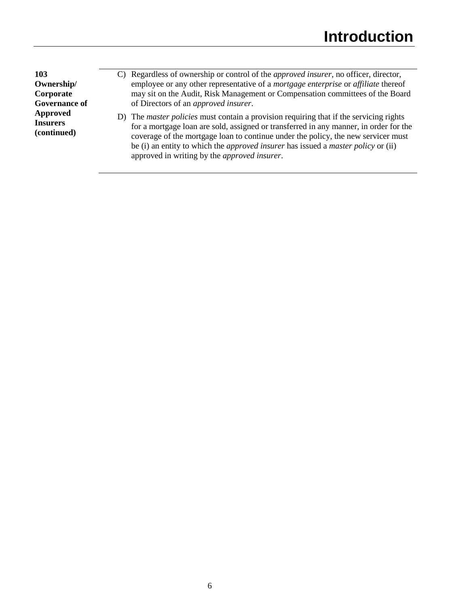**103 Ownership/ Corporate Governance of Approved Insurers (continued)**

- C) Regardless of ownership or control of the *approved insurer*, no officer, director, employee or any other representative of a *mortgage enterprise* or *affiliate* thereof may sit on the Audit, Risk Management or Compensation committees of the Board of Directors of an *approved insurer*.
- D) The *master policies* must contain a provision requiring that if the servicing rights for a mortgage loan are sold, assigned or transferred in any manner, in order for the coverage of the mortgage loan to continue under the policy, the new servicer must be (i) an entity to which the *approved insurer* has issued a *master policy* or (ii) approved in writing by the *approved insurer*.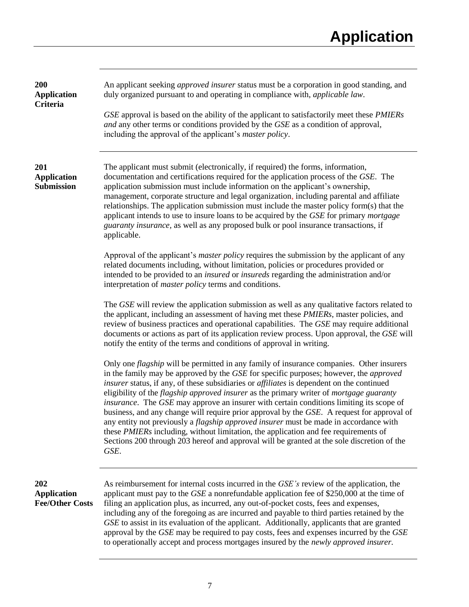| 200<br><b>Application</b><br>Criteria               | An applicant seeking <i>approved insurer</i> status must be a corporation in good standing, and<br>duly organized pursuant to and operating in compliance with, applicable law.<br>GSE approval is based on the ability of the applicant to satisfactorily meet these PMIERs<br>and any other terms or conditions provided by the GSE as a condition of approval,<br>including the approval of the applicant's <i>master policy</i> .                                                                                                                                                                                                                                                                                                                                                                                                                                                                             |
|-----------------------------------------------------|-------------------------------------------------------------------------------------------------------------------------------------------------------------------------------------------------------------------------------------------------------------------------------------------------------------------------------------------------------------------------------------------------------------------------------------------------------------------------------------------------------------------------------------------------------------------------------------------------------------------------------------------------------------------------------------------------------------------------------------------------------------------------------------------------------------------------------------------------------------------------------------------------------------------|
| 201<br><b>Application</b><br>Submission             | The applicant must submit (electronically, if required) the forms, information,<br>documentation and certifications required for the application process of the GSE. The<br>application submission must include information on the applicant's ownership,<br>management, corporate structure and legal organization, including parental and affiliate<br>relationships. The application submission must include the master policy form(s) that the<br>applicant intends to use to insure loans to be acquired by the GSE for primary mortgage<br>guaranty insurance, as well as any proposed bulk or pool insurance transactions, if<br>applicable.                                                                                                                                                                                                                                                               |
|                                                     | Approval of the applicant's <i>master policy</i> requires the submission by the applicant of any<br>related documents including, without limitation, policies or procedures provided or<br>intended to be provided to an <i>insured</i> or <i>insureds</i> regarding the administration and/or<br>interpretation of <i>master policy</i> terms and conditions.                                                                                                                                                                                                                                                                                                                                                                                                                                                                                                                                                    |
|                                                     | The GSE will review the application submission as well as any qualitative factors related to<br>the applicant, including an assessment of having met these <i>PMIERs</i> , master policies, and<br>review of business practices and operational capabilities. The GSE may require additional<br>documents or actions as part of its application review process. Upon approval, the GSE will<br>notify the entity of the terms and conditions of approval in writing.                                                                                                                                                                                                                                                                                                                                                                                                                                              |
|                                                     | Only one <i>flagship</i> will be permitted in any family of insurance companies. Other insurers<br>in the family may be approved by the GSE for specific purposes; however, the <i>approved</i><br>insurer status, if any, of these subsidiaries or <i>affiliates</i> is dependent on the continued<br>eligibility of the <i>flagship approved insurer</i> as the primary writer of <i>mortgage guaranty</i><br><i>insurance</i> . The <i>GSE</i> may approve an insurer with certain conditions limiting its scope of<br>business, and any change will require prior approval by the GSE. A request for approval of<br>any entity not previously a <i>flagship approved insurer</i> must be made in accordance with<br>these PMIERs including, without limitation, the application and fee requirements of<br>Sections 200 through 203 hereof and approval will be granted at the sole discretion of the<br>GSE. |
| 202<br><b>Application</b><br><b>Fee/Other Costs</b> | As reimbursement for internal costs incurred in the <i>GSE's</i> review of the application, the<br>applicant must pay to the $GSE$ a nonrefundable application fee of \$250,000 at the time of<br>filing an application plus, as incurred, any out-of-pocket costs, fees and expenses,<br>including any of the foregoing as are incurred and payable to third parties retained by the<br>GSE to assist in its evaluation of the applicant. Additionally, applicants that are granted<br>approval by the GSE may be required to pay costs, fees and expenses incurred by the GSE<br>to operationally accept and process mortgages insured by the <i>newly approved insurer</i> .                                                                                                                                                                                                                                   |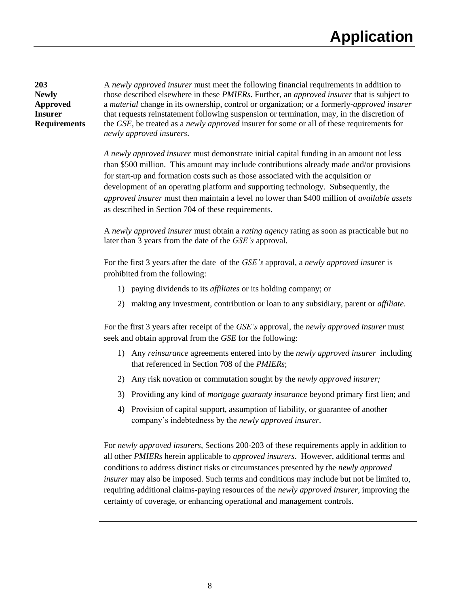**203 Newly Approved Insurer Requirements**

A *newly approved insurer* must meet the following financial requirements in addition to those described elsewhere in these *PMIERs.* Further, an *approved insurer* that is subject to a *material* change in its ownership, control or organization; or a formerly-*approved insurer* that requests reinstatement following suspension or termination, may, in the discretion of the *GSE*, be treated as a *newly approved* insurer for some or all of these requirements for *newly approved insurers*.

*A newly approved insurer* must demonstrate initial capital funding in an amount not less than \$500 million. This amount may include contributions already made and/or provisions for start-up and formation costs such as those associated with the acquisition or development of an operating platform and supporting technology. Subsequently, the *approved insurer* must then maintain a level no lower than \$400 million of *available assets* as described in Section 704 of these requirements.

A *newly approved insurer* must obtain a *rating agency* rating as soon as practicable but no later than 3 years from the date of the *GSE's* approval.

For the first 3 years after the date of the *GSE's* approval, a *newly approved insurer* is prohibited from the following:

- 1) paying dividends to its *affiliates* or its holding company; or
- 2) making any investment, contribution or loan to any subsidiary, parent or *affiliate*.

For the first 3 years after receipt of the *GSE's* approval, the *newly approved insurer* must seek and obtain approval from the *GSE* for the following:

- 1) Any *reinsurance* agreements entered into by the *newly approved insurer* including that referenced in Section 708 of the *PMIERs*;
- 2) Any risk novation or commutation sought by the *newly approved insurer;*
- 3) Providing any kind of *mortgage guaranty insurance* beyond primary first lien; and
- 4) Provision of capital support, assumption of liability, or guarantee of another company's indebtedness by the *newly approved insurer*.

For *newly approved insurers*, Sections 200-203 of these requirements apply in addition to all other *PMIERs* herein applicable to *approved insurers*. However, additional terms and conditions to address distinct risks or circumstances presented by the *newly approved insurer* may also be imposed. Such terms and conditions may include but not be limited to, requiring additional claims-paying resources of the *newly approved insurer,* improving the certainty of coverage, or enhancing operational and management controls.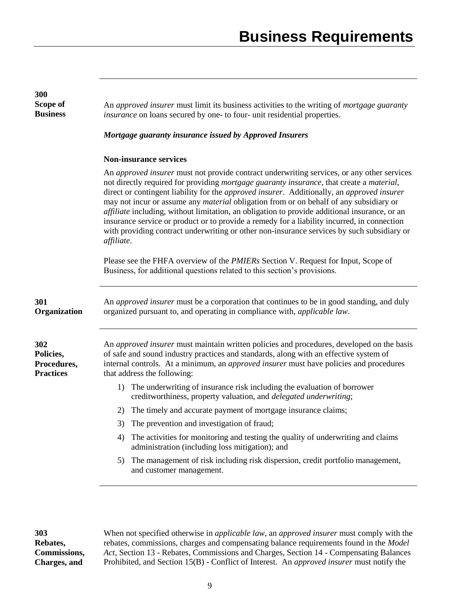| 300<br>Scope of<br><b>Business</b>                  | An approved insurer must limit its business activities to the writing of mortgage guaranty<br>insurance on loans secured by one- to four- unit residential properties.                                                                                                                                                                                                                                                                                                                                                                                                                                                                                                                                          |
|-----------------------------------------------------|-----------------------------------------------------------------------------------------------------------------------------------------------------------------------------------------------------------------------------------------------------------------------------------------------------------------------------------------------------------------------------------------------------------------------------------------------------------------------------------------------------------------------------------------------------------------------------------------------------------------------------------------------------------------------------------------------------------------|
|                                                     | Mortgage guaranty insurance issued by Approved Insurers                                                                                                                                                                                                                                                                                                                                                                                                                                                                                                                                                                                                                                                         |
|                                                     | <b>Non-insurance services</b>                                                                                                                                                                                                                                                                                                                                                                                                                                                                                                                                                                                                                                                                                   |
|                                                     | An <i>approved insurer</i> must not provide contract underwriting services, or any other services<br>not directly required for providing mortgage guaranty insurance, that create a material,<br>direct or contingent liability for the approved insurer. Additionally, an approved insurer<br>may not incur or assume any <i>material</i> obligation from or on behalf of any subsidiary or<br><i>affiliate</i> including, without limitation, an obligation to provide additional insurance, or an<br>insurance service or product or to provide a remedy for a liability incurred, in connection<br>with providing contract underwriting or other non-insurance services by such subsidiary or<br>affiliate. |
|                                                     | Please see the FHFA overview of the <i>PMIERs</i> Section V. Request for Input, Scope of<br>Business, for additional questions related to this section's provisions.                                                                                                                                                                                                                                                                                                                                                                                                                                                                                                                                            |
| 301<br>Organization                                 | An <i>approved insurer</i> must be a corporation that continues to be in good standing, and duly<br>organized pursuant to, and operating in compliance with, applicable law.                                                                                                                                                                                                                                                                                                                                                                                                                                                                                                                                    |
| 302<br>Policies,<br>Procedures,<br><b>Practices</b> | An approved insurer must maintain written policies and procedures, developed on the basis<br>of safe and sound industry practices and standards, along with an effective system of<br>internal controls. At a minimum, an <i>approved insurer</i> must have policies and procedures<br>that address the following:                                                                                                                                                                                                                                                                                                                                                                                              |
|                                                     | The underwriting of insurance risk including the evaluation of borrower<br>1)<br>creditworthiness, property valuation, and <i>delegated underwriting</i> ;                                                                                                                                                                                                                                                                                                                                                                                                                                                                                                                                                      |
|                                                     | The timely and accurate payment of mortgage insurance claims;<br>2)                                                                                                                                                                                                                                                                                                                                                                                                                                                                                                                                                                                                                                             |
|                                                     | The prevention and investigation of fraud;<br>3)                                                                                                                                                                                                                                                                                                                                                                                                                                                                                                                                                                                                                                                                |
|                                                     | The activities for monitoring and testing the quality of underwriting and claims<br>4)<br>administration (including loss mitigation); and                                                                                                                                                                                                                                                                                                                                                                                                                                                                                                                                                                       |
|                                                     | 5) The management of risk including risk dispersion, credit portfolio management,<br>and customer management.                                                                                                                                                                                                                                                                                                                                                                                                                                                                                                                                                                                                   |
|                                                     |                                                                                                                                                                                                                                                                                                                                                                                                                                                                                                                                                                                                                                                                                                                 |

**303 Rebates, Commissions, Charges, and** 

When not specified otherwise in *applicable law*, an *approved insurer* must comply with the rebates, commissions, charges and compensating balance requirements found in the *Model Act*, Section 13 - Rebates, Commissions and Charges, Section 14 - Compensating Balances Prohibited, and Section 15(B) - Conflict of Interest. An *approved insurer* must notify the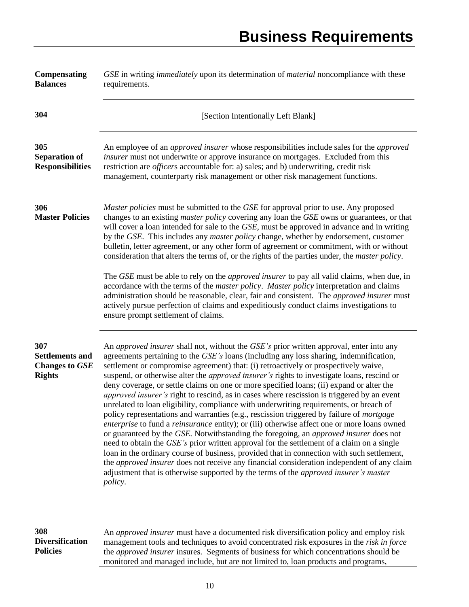| <b>Compensating</b><br><b>Balances</b>                                  | GSE in writing <i>immediately</i> upon its determination of <i>material</i> noncompliance with these<br>requirements.                                                                                                                                                                                                                                                                                                                                                                                                                                                                                                                                                                                                                                                                                                                                                                                                                                                                                                                                                                                                                                                                                                                                                                                                                                                                       |
|-------------------------------------------------------------------------|---------------------------------------------------------------------------------------------------------------------------------------------------------------------------------------------------------------------------------------------------------------------------------------------------------------------------------------------------------------------------------------------------------------------------------------------------------------------------------------------------------------------------------------------------------------------------------------------------------------------------------------------------------------------------------------------------------------------------------------------------------------------------------------------------------------------------------------------------------------------------------------------------------------------------------------------------------------------------------------------------------------------------------------------------------------------------------------------------------------------------------------------------------------------------------------------------------------------------------------------------------------------------------------------------------------------------------------------------------------------------------------------|
| 304                                                                     | [Section Intentionally Left Blank]                                                                                                                                                                                                                                                                                                                                                                                                                                                                                                                                                                                                                                                                                                                                                                                                                                                                                                                                                                                                                                                                                                                                                                                                                                                                                                                                                          |
| 305<br><b>Separation of</b><br><b>Responsibilities</b>                  | An employee of an <i>approved insurer</i> whose responsibilities include sales for the <i>approved</i><br>insurer must not underwrite or approve insurance on mortgages. Excluded from this<br>restriction are <i>officers</i> accountable for: a) sales; and b) underwriting, credit risk<br>management, counterparty risk management or other risk management functions.                                                                                                                                                                                                                                                                                                                                                                                                                                                                                                                                                                                                                                                                                                                                                                                                                                                                                                                                                                                                                  |
| 306<br><b>Master Policies</b>                                           | <i>Master policies</i> must be submitted to the <i>GSE</i> for approval prior to use. Any proposed<br>changes to an existing <i>master policy</i> covering any loan the GSE owns or guarantees, or that<br>will cover a loan intended for sale to the GSE, must be approved in advance and in writing<br>by the GSE. This includes any <i>master policy</i> change, whether by endorsement, customer<br>bulletin, letter agreement, or any other form of agreement or commitment, with or without<br>consideration that alters the terms of, or the rights of the parties under, the <i>master policy</i> .                                                                                                                                                                                                                                                                                                                                                                                                                                                                                                                                                                                                                                                                                                                                                                                 |
|                                                                         | The GSE must be able to rely on the <i>approved insurer</i> to pay all valid claims, when due, in<br>accordance with the terms of the <i>master policy. Master policy</i> interpretation and claims<br>administration should be reasonable, clear, fair and consistent. The <i>approved insurer</i> must<br>actively pursue perfection of claims and expeditiously conduct claims investigations to<br>ensure prompt settlement of claims.                                                                                                                                                                                                                                                                                                                                                                                                                                                                                                                                                                                                                                                                                                                                                                                                                                                                                                                                                  |
| 307<br><b>Settlements and</b><br><b>Changes to GSE</b><br><b>Rights</b> | An <i>approved insurer</i> shall not, without the <i>GSE's</i> prior written approval, enter into any<br>agreements pertaining to the GSE's loans (including any loss sharing, indemnification,<br>settlement or compromise agreement) that: (i) retroactively or prospectively waive,<br>suspend, or otherwise alter the <i>approved insurer's</i> rights to investigate loans, rescind or<br>deny coverage, or settle claims on one or more specified loans; (ii) expand or alter the<br><i>approved insurer's</i> right to rescind, as in cases where rescission is triggered by an event<br>unrelated to loan eligibility, compliance with underwriting requirements, or breach of<br>policy representations and warranties (e.g., rescission triggered by failure of <i>mortgage</i><br>enterprise to fund a reinsurance entity); or (iii) otherwise affect one or more loans owned<br>or guaranteed by the GSE. Notwithstanding the foregoing, an approved insurer does not<br>need to obtain the GSE's prior written approval for the settlement of a claim on a single<br>loan in the ordinary course of business, provided that in connection with such settlement,<br>the <i>approved insurer</i> does not receive any financial consideration independent of any claim<br>adjustment that is otherwise supported by the terms of the approved insurer's master<br><i>policy.</i> |
| 308<br><b>Diversification</b><br><b>Policies</b>                        | An <i>approved insurer</i> must have a documented risk diversification policy and employ risk<br>management tools and techniques to avoid concentrated risk exposures in the risk in force<br>the <i>approved insurer</i> insures. Segments of business for which concentrations should be<br>monitored and managed include, but are not limited to, loan products and programs,                                                                                                                                                                                                                                                                                                                                                                                                                                                                                                                                                                                                                                                                                                                                                                                                                                                                                                                                                                                                            |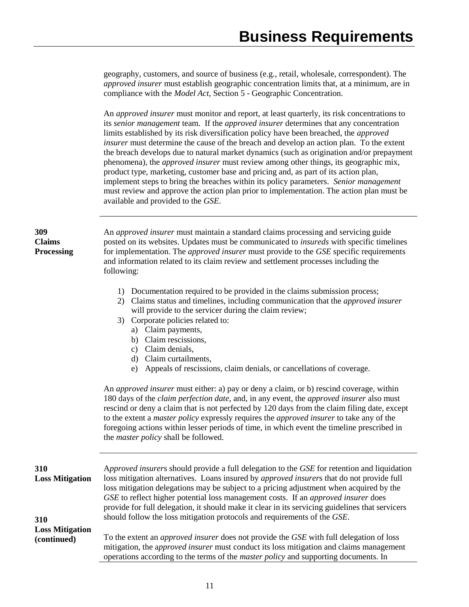geography, customers, and source of business (e.g., retail, wholesale, correspondent). The *approved insurer* must establish geographic concentration limits that, at a minimum, are in compliance with the *Model Act*, Section 5 - Geographic Concentration.

An *approved insurer* must monitor and report, at least quarterly, its risk concentrations to its *senior management* team. If the *approved insurer* determines that any concentration limits established by its risk diversification policy have been breached, the *approved insurer* must determine the cause of the breach and develop an action plan. To the extent the breach develops due to natural market dynamics (such as origination and/or prepayment phenomena), the *approved insurer* must review among other things, its geographic mix, product type, marketing, customer base and pricing and, as part of its action plan, implement steps to bring the breaches within its policy parameters. *Senior management* must review and approve the action plan prior to implementation. The action plan must be available and provided to the *GSE*.

| 309<br><b>Claims</b><br><b>Processing</b>    | An <i>approved insurer</i> must maintain a standard claims processing and servicing guide<br>posted on its websites. Updates must be communicated to <i>insureds</i> with specific timelines<br>for implementation. The <i>approved insurer</i> must provide to the GSE specific requirements<br>and information related to its claim review and settlement processes including the<br>following:                                                                                                                                                                                                                                                                                                                                                                                                                                                                       |
|----------------------------------------------|-------------------------------------------------------------------------------------------------------------------------------------------------------------------------------------------------------------------------------------------------------------------------------------------------------------------------------------------------------------------------------------------------------------------------------------------------------------------------------------------------------------------------------------------------------------------------------------------------------------------------------------------------------------------------------------------------------------------------------------------------------------------------------------------------------------------------------------------------------------------------|
|                                              | 1) Documentation required to be provided in the claims submission process;<br>2) Claims status and timelines, including communication that the <i>approved insurer</i><br>will provide to the servicer during the claim review;<br>3) Corporate policies related to:<br>a) Claim payments,<br>b) Claim rescissions,<br>c) Claim denials,<br>d) Claim curtailments,<br>Appeals of rescissions, claim denials, or cancellations of coverage.<br>e)<br>An <i>approved insurer</i> must either: a) pay or deny a claim, or b) rescind coverage, within<br>180 days of the <i>claim perfection date</i> , and, in any event, the <i>approved insurer</i> also must<br>rescind or deny a claim that is not perfected by 120 days from the claim filing date, except<br>to the extent a <i>master policy</i> expressly requires the <i>approved insurer</i> to take any of the |
|                                              | foregoing actions within lesser periods of time, in which event the timeline prescribed in<br>the <i>master policy</i> shall be followed.                                                                                                                                                                                                                                                                                                                                                                                                                                                                                                                                                                                                                                                                                                                               |
| 310<br><b>Loss Mitigation</b>                | Approved insurers should provide a full delegation to the GSE for retention and liquidation<br>loss mitigation alternatives. Loans insured by approved insurers that do not provide full<br>loss mitigation delegations may be subject to a pricing adjustment when acquired by the<br>GSE to reflect higher potential loss management costs. If an approved insurer does<br>provide for full delegation, it should make it clear in its servicing guidelines that servicers                                                                                                                                                                                                                                                                                                                                                                                            |
| 310<br><b>Loss Mitigation</b><br>(continued) | should follow the loss mitigation protocols and requirements of the GSE.<br>To the extent an <i>approved insurer</i> does not provide the GSE with full delegation of loss<br>mitigation, the approved insurer must conduct its loss mitigation and claims management<br>operations according to the terms of the <i>master policy</i> and supporting documents. In                                                                                                                                                                                                                                                                                                                                                                                                                                                                                                     |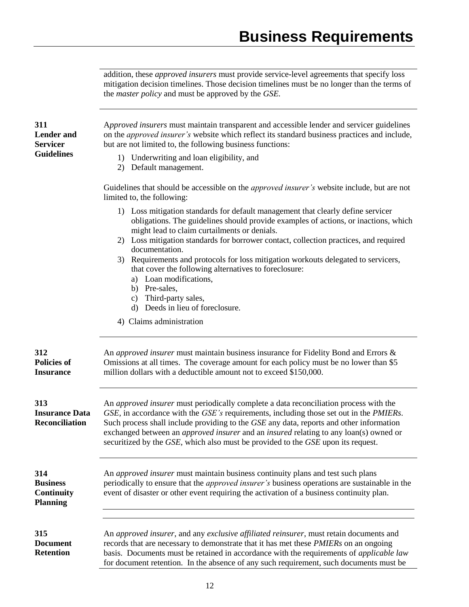addition, these *approved insurers* must provide service-level agreements that specify loss mitigation decision timelines. Those decision timelines must be no longer than the terms of the *master policy* and must be approved by the *GSE.*

| 311<br><b>Lender</b> and<br><b>Servicer</b>                    | Approved insurers must maintain transparent and accessible lender and servicer guidelines<br>on the approved insurer's website which reflect its standard business practices and include,<br>but are not limited to, the following business functions:                                                                                                                                                                                                                                                      |
|----------------------------------------------------------------|-------------------------------------------------------------------------------------------------------------------------------------------------------------------------------------------------------------------------------------------------------------------------------------------------------------------------------------------------------------------------------------------------------------------------------------------------------------------------------------------------------------|
| <b>Guidelines</b>                                              | 1) Underwriting and loan eligibility, and<br>2) Default management.                                                                                                                                                                                                                                                                                                                                                                                                                                         |
|                                                                | Guidelines that should be accessible on the <i>approved insurer's</i> website include, but are not<br>limited to, the following:                                                                                                                                                                                                                                                                                                                                                                            |
|                                                                | 1) Loss mitigation standards for default management that clearly define servicer<br>obligations. The guidelines should provide examples of actions, or inactions, which<br>might lead to claim curtailments or denials.<br>2) Loss mitigation standards for borrower contact, collection practices, and required<br>documentation.<br>3) Requirements and protocols for loss mitigation workouts delegated to servicers,<br>that cover the following alternatives to foreclosure:<br>a) Loan modifications, |
|                                                                | b) Pre-sales,<br>c) Third-party sales,                                                                                                                                                                                                                                                                                                                                                                                                                                                                      |
|                                                                | d) Deeds in lieu of foreclosure.<br>4) Claims administration                                                                                                                                                                                                                                                                                                                                                                                                                                                |
|                                                                |                                                                                                                                                                                                                                                                                                                                                                                                                                                                                                             |
| 312<br><b>Policies of</b><br><b>Insurance</b>                  | An approved insurer must maintain business insurance for Fidelity Bond and Errors &<br>Omissions at all times. The coverage amount for each policy must be no lower than \$5<br>million dollars with a deductible amount not to exceed \$150,000.                                                                                                                                                                                                                                                           |
| 313<br><b>Insurance Data</b><br><b>Reconciliation</b>          | An <i>approved insurer</i> must periodically complete a data reconciliation process with the<br>GSE, in accordance with the GSE's requirements, including those set out in the PMIERs.<br>Such process shall include providing to the GSE any data, reports and other information<br>exchanged between an <i>approved insurer</i> and an <i>insured</i> relating to any loan(s) owned or<br>securitized by the GSE, which also must be provided to the GSE upon its request.                                |
| 314<br><b>Business</b><br><b>Continuity</b><br><b>Planning</b> | An <i>approved insurer</i> must maintain business continuity plans and test such plans<br>periodically to ensure that the <i>approved insurer's</i> business operations are sustainable in the<br>event of disaster or other event requiring the activation of a business continuity plan.                                                                                                                                                                                                                  |
| 315<br><b>Document</b><br><b>Retention</b>                     | An approved insurer, and any exclusive affiliated reinsurer, must retain documents and<br>records that are necessary to demonstrate that it has met these <i>PMIERs</i> on an ongoing<br>basis. Documents must be retained in accordance with the requirements of applicable law<br>for document retention. In the absence of any such requirement, such documents must be                                                                                                                                  |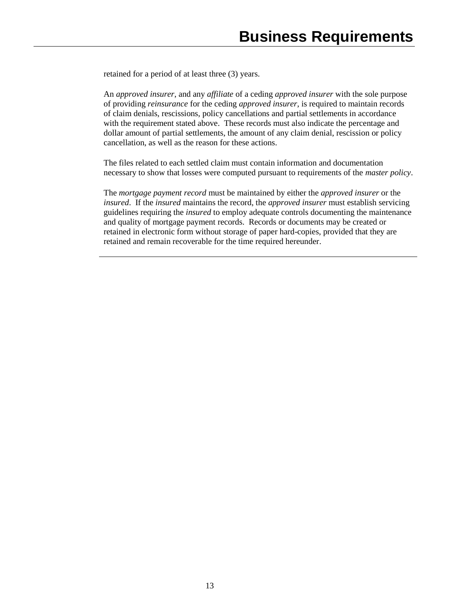retained for a period of at least three (3) years.

An *approved insurer*, and any *affiliate* of a ceding *approved insurer* with the sole purpose of providing *reinsurance* for the ceding *approved insurer*, is required to maintain records of claim denials, rescissions, policy cancellations and partial settlements in accordance with the requirement stated above. These records must also indicate the percentage and dollar amount of partial settlements, the amount of any claim denial, rescission or policy cancellation, as well as the reason for these actions.

The files related to each settled claim must contain information and documentation necessary to show that losses were computed pursuant to requirements of the *master policy*.

The *mortgage payment record* must be maintained by either the *approved insurer* or the *insured*. If the *insured* maintains the record, the *approved insurer* must establish servicing guidelines requiring the *insured* to employ adequate controls documenting the maintenance and quality of mortgage payment records. Records or documents may be created or retained in electronic form without storage of paper hard-copies, provided that they are retained and remain recoverable for the time required hereunder.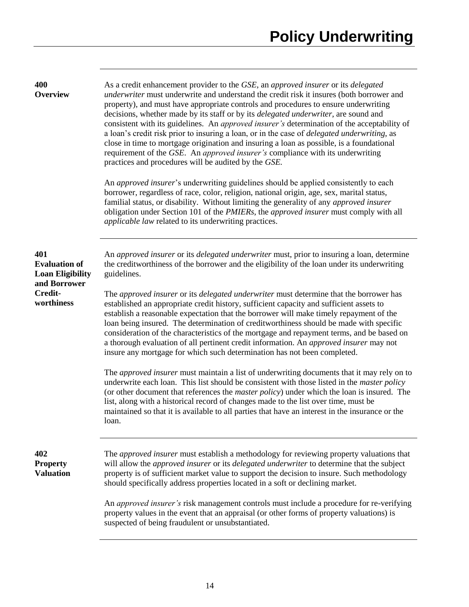| 400<br><b>Overview</b>                                                                          | As a credit enhancement provider to the GSE, an approved insurer or its delegated<br>underwriter must underwrite and understand the credit risk it insures (both borrower and<br>property), and must have appropriate controls and procedures to ensure underwriting<br>decisions, whether made by its staff or by its <i>delegated underwriter</i> , are sound and<br>consistent with its guidelines. An approved insurer's determination of the acceptability of<br>a loan's credit risk prior to insuring a loan, or in the case of <i>delegated underwriting</i> , as<br>close in time to mortgage origination and insuring a loan as possible, is a foundational<br>requirement of the GSE. An <i>approved insurer's</i> compliance with its underwriting<br>practices and procedures will be audited by the GSE.<br>An <i>approved insurer's</i> underwriting guidelines should be applied consistently to each<br>borrower, regardless of race, color, religion, national origin, age, sex, marital status,<br>familial status, or disability. Without limiting the generality of any approved insurer<br>obligation under Section 101 of the <i>PMIERs</i> , the <i>approved insurer</i> must comply with all<br><i>applicable law</i> related to its underwriting practices. |
|-------------------------------------------------------------------------------------------------|---------------------------------------------------------------------------------------------------------------------------------------------------------------------------------------------------------------------------------------------------------------------------------------------------------------------------------------------------------------------------------------------------------------------------------------------------------------------------------------------------------------------------------------------------------------------------------------------------------------------------------------------------------------------------------------------------------------------------------------------------------------------------------------------------------------------------------------------------------------------------------------------------------------------------------------------------------------------------------------------------------------------------------------------------------------------------------------------------------------------------------------------------------------------------------------------------------------------------------------------------------------------------------------|
| 401<br><b>Evaluation of</b><br><b>Loan Eligibility</b><br>and Borrower<br>Credit-<br>worthiness | An approved insurer or its delegated underwriter must, prior to insuring a loan, determine<br>the creditworthiness of the borrower and the eligibility of the loan under its underwriting<br>guidelines.<br>The <i>approved insurer</i> or its <i>delegated underwriter</i> must determine that the borrower has<br>established an appropriate credit history, sufficient capacity and sufficient assets to<br>establish a reasonable expectation that the borrower will make timely repayment of the<br>loan being insured. The determination of creditworthiness should be made with specific<br>consideration of the characteristics of the mortgage and repayment terms, and be based on<br>a thorough evaluation of all pertinent credit information. An approved insurer may not<br>insure any mortgage for which such determination has not been completed.                                                                                                                                                                                                                                                                                                                                                                                                                    |
|                                                                                                 | The <i>approved insurer</i> must maintain a list of underwriting documents that it may rely on to<br>underwrite each loan. This list should be consistent with those listed in the <i>master policy</i><br>(or other document that references the <i>master policy</i> ) under which the loan is insured. The<br>list, along with a historical record of changes made to the list over time, must be<br>maintained so that it is available to all parties that have an interest in the insurance or the<br>loan.                                                                                                                                                                                                                                                                                                                                                                                                                                                                                                                                                                                                                                                                                                                                                                      |
| 402<br><b>Property</b><br><b>Valuation</b>                                                      | The <i>approved insurer</i> must establish a methodology for reviewing property valuations that<br>will allow the <i>approved insurer</i> or its <i>delegated underwriter</i> to determine that the subject<br>property is of sufficient market value to support the decision to insure. Such methodology<br>should specifically address properties located in a soft or declining market.                                                                                                                                                                                                                                                                                                                                                                                                                                                                                                                                                                                                                                                                                                                                                                                                                                                                                            |
|                                                                                                 | An <i>approved insurer's</i> risk management controls must include a procedure for re-verifying<br>property values in the event that an appraisal (or other forms of property valuations) is<br>suspected of being fraudulent or unsubstantiated.                                                                                                                                                                                                                                                                                                                                                                                                                                                                                                                                                                                                                                                                                                                                                                                                                                                                                                                                                                                                                                     |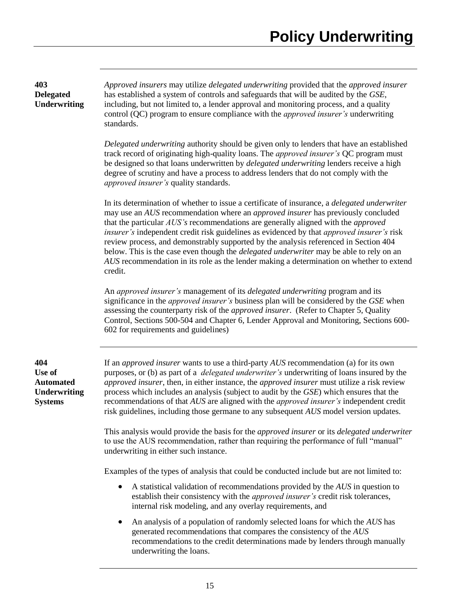*Approved insurers* may utilize *delegated underwriting* provided that the *approved insurer* has established a system of controls and safeguards that will be audited by the *GSE*, including, but not limited to, a lender approval and monitoring process, and a quality control (QC) program to ensure compliance with the *approved insurer's* underwriting standards.

*Delegated underwriting* authority should be given only to lenders that have an established track record of originating high-quality loans. The *approved insurer's* QC program must be designed so that loans underwritten by *delegated underwriting* lenders receive a high degree of scrutiny and have a process to address lenders that do not comply with the *approved insurer's* quality standards.

In its determination of whether to issue a certificate of insurance, a *delegated underwriter* may use an *AUS* recommendation where an *approved insurer* has previously concluded that the particular *AUS's* recommendations are generally aligned with the *approved insurer's* independent credit risk guidelines as evidenced by that *approved insurer's* risk review process, and demonstrably supported by the analysis referenced in Section 404 below. This is the case even though the *delegated underwriter* may be able to rely on an *AUS* recommendation in its role as the lender making a determination on whether to extend credit.

An *approved insurer's* management of its *delegated underwriting* program and its significance in the *approved insurer's* business plan will be considered by the *GSE* when assessing the counterparty risk of the *approved insurer*. (Refer to Chapter 5, Quality Control, Sections 500-504 and Chapter 6, Lender Approval and Monitoring, Sections 600- 602 for requirements and guidelines)

**404 Use of Automated Underwriting Systems**

**403 Delegated Underwriting**

> If an *approved insurer* wants to use a third-party *AUS* recommendation (a) for its own purposes, or (b) as part of a *delegated underwriter's* underwriting of loans insured by the *approved insurer*, then, in either instance, the *approved insurer* must utilize a risk review process which includes an analysis (subject to audit by the *GSE*) which ensures that the recommendations of that *AUS* are aligned with the *approved insurer's* independent credit risk guidelines, including those germane to any subsequent *AUS* model version updates.

This analysis would provide the basis for the *approved insurer* or its *delegated underwriter* to use the AUS recommendation, rather than requiring the performance of full "manual" underwriting in either such instance.

Examples of the types of analysis that could be conducted include but are not limited to:

- A statistical validation of recommendations provided by the *AUS* in question to establish their consistency with the *approved insurer's* credit risk tolerances, internal risk modeling, and any overlay requirements, and
- An analysis of a population of randomly selected loans for which the *AUS* has generated recommendations that compares the consistency of the *AUS* recommendations to the credit determinations made by lenders through manually underwriting the loans.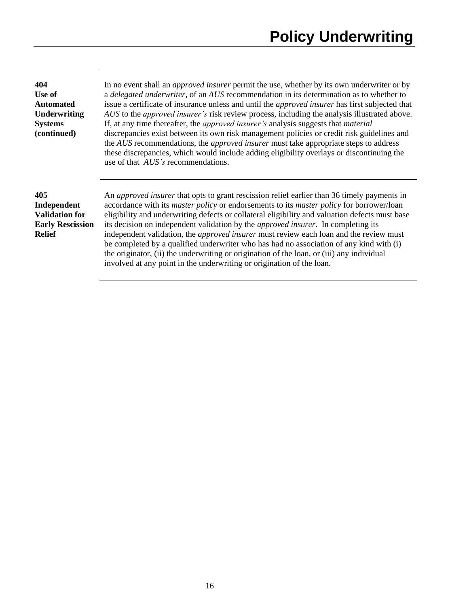| 404              |
|------------------|
| Use of           |
| <b>Automated</b> |
| Underwriting     |
| <b>Systems</b>   |
| (continued)      |

In no event shall an *approved insurer* permit the use, whether by its own underwriter or by a *delegated underwriter*, of an *AUS* recommendation in its determination as to whether to issue a certificate of insurance unless and until the *approved insurer* has first subjected that *AUS* to the *approved insurer's* risk review process, including the analysis illustrated above. If, at any time thereafter, the *approved insurer's* analysis suggests that *material* discrepancies exist between its own risk management policies or credit risk guidelines and the *AUS* recommendations, the *approved insurer* must take appropriate steps to address these discrepancies, which would include adding eligibility overlays or discontinuing the use of that *AUS's* recommendations.

# **405 Independent Validation for Early Rescission Relief**

An *approved insurer* that opts to grant rescission relief earlier than 36 timely payments in accordance with its *master policy* or endorsements to its *master policy* for borrower/loan eligibility and underwriting defects or collateral eligibility and valuation defects must base its decision on independent validation by the *approved insurer*. In completing its independent validation, the *approved insurer* must review each loan and the review must be completed by a qualified underwriter who has had no association of any kind with (i) the originator, (ii) the underwriting or origination of the loan, or (iii) any individual involved at any point in the underwriting or origination of the loan.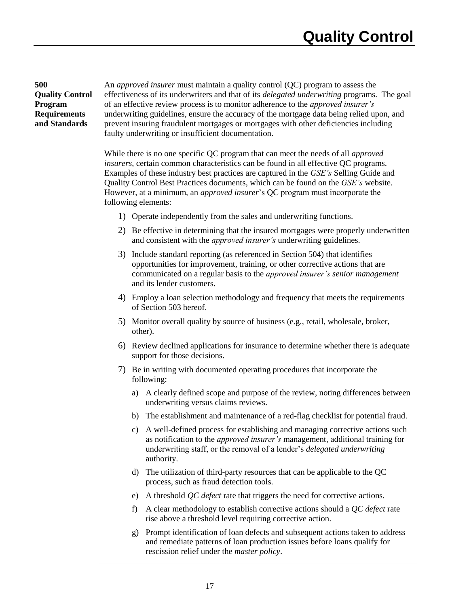**500 Quality Control Program Requirements and Standards**

An *approved insurer* must maintain a quality control (QC) program to assess the effectiveness of its underwriters and that of its *delegated underwriting* programs. The goal of an effective review process is to monitor adherence to the *approved insurer's* underwriting guidelines, ensure the accuracy of the mortgage data being relied upon, and prevent insuring fraudulent mortgages or mortgages with other deficiencies including faulty underwriting or insufficient documentation.

While there is no one specific QC program that can meet the needs of all *approved insurers*, certain common characteristics can be found in all effective QC programs. Examples of these industry best practices are captured in the *GSE's* Selling Guide and Quality Control Best Practices documents, which can be found on the *GSE's* website. However, at a minimum, an *approved insurer*'s QC program must incorporate the following elements:

- 1) Operate independently from the sales and underwriting functions.
- 2) Be effective in determining that the insured mortgages were properly underwritten and consistent with the *approved insurer's* underwriting guidelines.
- 3) Include standard reporting (as referenced in Section 504) that identifies opportunities for improvement, training, or other corrective actions that are communicated on a regular basis to the *approved insurer's senior management* and its lender customers.
- 4) Employ a loan selection methodology and frequency that meets the requirements of Section 503 hereof.
- 5) Monitor overall quality by source of business (e.g., retail, wholesale, broker, other).
- 6) Review declined applications for insurance to determine whether there is adequate support for those decisions.
- 7) Be in writing with documented operating procedures that incorporate the following:
	- a) A clearly defined scope and purpose of the review, noting differences between underwriting versus claims reviews.
	- b) The establishment and maintenance of a red-flag checklist for potential fraud.
	- c) A well-defined process for establishing and managing corrective actions such as notification to the *approved insurer's* management, additional training for underwriting staff, or the removal of a lender's *delegated underwriting* authority.
	- d) The utilization of third-party resources that can be applicable to the QC process, such as fraud detection tools.
	- e) A threshold *QC defect* rate that triggers the need for corrective actions.
	- f) A clear methodology to establish corrective actions should a *QC defect* rate rise above a threshold level requiring corrective action.
	- g) Prompt identification of loan defects and subsequent actions taken to address and remediate patterns of loan production issues before loans qualify for rescission relief under the *master policy*.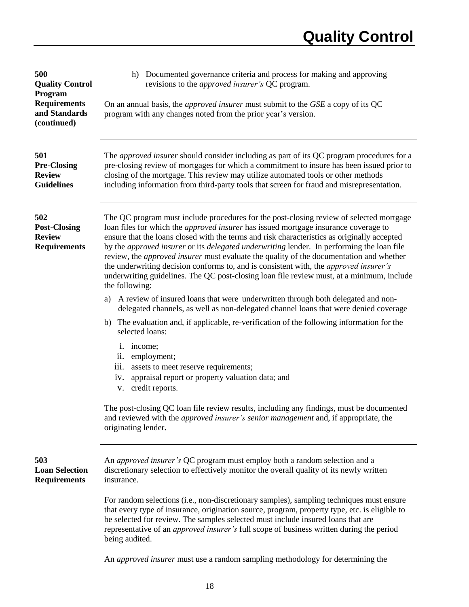| 500<br><b>Quality Control</b><br>Program<br><b>Requirements</b>    | Documented governance criteria and process for making and approving<br>h)<br>revisions to the <i>approved insurer's</i> QC program.<br>On an annual basis, the <i>approved insurer</i> must submit to the <i>GSE</i> a copy of its QC                                                                                                                                                                                                                                                                                                                                                                                                                                                                            |
|--------------------------------------------------------------------|------------------------------------------------------------------------------------------------------------------------------------------------------------------------------------------------------------------------------------------------------------------------------------------------------------------------------------------------------------------------------------------------------------------------------------------------------------------------------------------------------------------------------------------------------------------------------------------------------------------------------------------------------------------------------------------------------------------|
| and Standards<br>(continued)                                       | program with any changes noted from the prior year's version.                                                                                                                                                                                                                                                                                                                                                                                                                                                                                                                                                                                                                                                    |
| 501<br><b>Pre-Closing</b><br><b>Review</b><br><b>Guidelines</b>    | The <i>approved insurer</i> should consider including as part of its QC program procedures for a<br>pre-closing review of mortgages for which a commitment to insure has been issued prior to<br>closing of the mortgage. This review may utilize automated tools or other methods<br>including information from third-party tools that screen for fraud and misrepresentation.                                                                                                                                                                                                                                                                                                                                  |
| 502<br><b>Post-Closing</b><br><b>Review</b><br><b>Requirements</b> | The QC program must include procedures for the post-closing review of selected mortgage<br>loan files for which the <i>approved insurer</i> has issued mortgage insurance coverage to<br>ensure that the loans closed with the terms and risk characteristics as originally accepted<br>by the <i>approved insurer</i> or its <i>delegated underwriting</i> lender. In performing the loan file<br>review, the <i>approved insurer</i> must evaluate the quality of the documentation and whether<br>the underwriting decision conforms to, and is consistent with, the <i>approved insurer's</i><br>underwriting guidelines. The QC post-closing loan file review must, at a minimum, include<br>the following: |
|                                                                    | A review of insured loans that were underwritten through both delegated and non-<br>a)<br>delegated channels, as well as non-delegated channel loans that were denied coverage<br>The evaluation and, if applicable, re-verification of the following information for the<br>b)<br>selected loans:                                                                                                                                                                                                                                                                                                                                                                                                               |
|                                                                    | income;<br>$\mathbf{1}$ .<br>employment;<br>$\overline{11}$ .<br>iii. assets to meet reserve requirements;<br>appraisal report or property valuation data; and<br>1V.<br>v. credit reports.                                                                                                                                                                                                                                                                                                                                                                                                                                                                                                                      |
|                                                                    | The post-closing QC loan file review results, including any findings, must be documented<br>and reviewed with the <i>approved insurer's senior management</i> and, if appropriate, the<br>originating lender.                                                                                                                                                                                                                                                                                                                                                                                                                                                                                                    |
| 503<br><b>Loan Selection</b><br><b>Requirements</b>                | An <i>approved insurer's</i> QC program must employ both a random selection and a<br>discretionary selection to effectively monitor the overall quality of its newly written<br>insurance.                                                                                                                                                                                                                                                                                                                                                                                                                                                                                                                       |
|                                                                    | For random selections (i.e., non-discretionary samples), sampling techniques must ensure<br>that every type of insurance, origination source, program, property type, etc. is eligible to<br>be selected for review. The samples selected must include insured loans that are<br>representative of an <i>approved insurer's</i> full scope of business written during the period<br>being audited.                                                                                                                                                                                                                                                                                                               |
|                                                                    | An approved insurer must use a random sampling methodology for determining the                                                                                                                                                                                                                                                                                                                                                                                                                                                                                                                                                                                                                                   |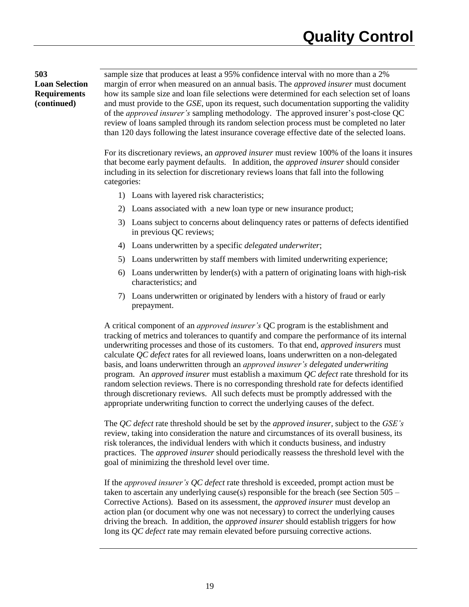**503 Loan Selection Requirements (continued)**

sample size that produces at least a 95% confidence interval with no more than a 2% margin of error when measured on an annual basis. The *approved insurer* must document how its sample size and loan file selections were determined for each selection set of loans and must provide to the *GSE*, upon its request, such documentation supporting the validity of the *approved insurer's* sampling methodology. The approved insurer's post-close QC review of loans sampled through its random selection process must be completed no later than 120 days following the latest insurance coverage effective date of the selected loans.

For its discretionary reviews, an *approved insurer* must review 100% of the loans it insures that become early payment defaults. In addition, the *approved insurer* should consider including in its selection for discretionary reviews loans that fall into the following categories:

- 1) Loans with layered risk characteristics;
- 2) Loans associated with a new loan type or new insurance product;
- 3) Loans subject to concerns about delinquency rates or patterns of defects identified in previous QC reviews;
- 4) Loans underwritten by a specific *delegated underwriter*;
- 5) Loans underwritten by staff members with limited underwriting experience;
- 6) Loans underwritten by lender(s) with a pattern of originating loans with high-risk characteristics; and
- 7) Loans underwritten or originated by lenders with a history of fraud or early prepayment.

A critical component of an *approved insurer's* QC program is the establishment and tracking of metrics and tolerances to quantify and compare the performance of its internal underwriting processes and those of its customers. To that end, *approved insurers* must calculate *QC defect* rates for all reviewed loans, loans underwritten on a non-delegated basis, and loans underwritten through an *approved insurer's delegated underwriting* program. An *approved insurer* must establish a maximum *QC defect* rate threshold for its random selection reviews. There is no corresponding threshold rate for defects identified through discretionary reviews. All such defects must be promptly addressed with the appropriate underwriting function to correct the underlying causes of the defect.

The *QC defect* rate threshold should be set by the *approved insurer,* subject to the *GSE's* review, taking into consideration the nature and circumstances of its overall business, its risk tolerances, the individual lenders with which it conducts business, and industry practices. The *approved insurer* should periodically reassess the threshold level with the goal of minimizing the threshold level over time.

If the *approved insurer's QC defect* rate threshold is exceeded, prompt action must be taken to ascertain any underlying cause(s) responsible for the breach (see Section 505 – Corrective Actions). Based on its assessment, the *approved insurer* must develop an action plan (or document why one was not necessary) to correct the underlying causes driving the breach. In addition, the *approved insurer* should establish triggers for how long its *QC defect* rate may remain elevated before pursuing corrective actions.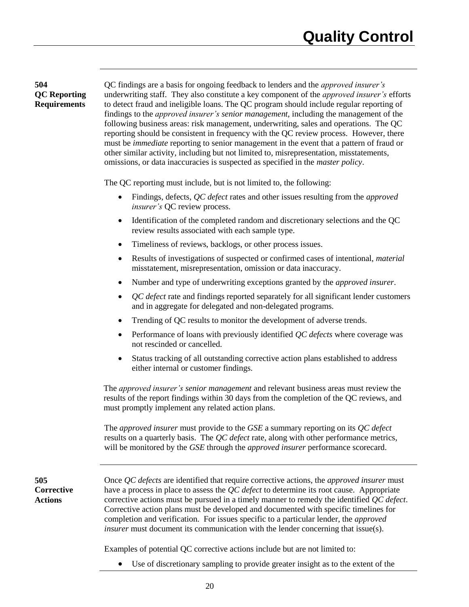# **504 QC Reporting Requirements**

QC findings are a basis for ongoing feedback to lenders and the *approved insurer's* underwriting staff*.* They also constitute a key component of the *approved insurer's* efforts to detect fraud and ineligible loans. The QC program should include regular reporting of findings to the *approved insurer's senior management*, including the management of the following business areas: risk management, underwriting, sales and operations. The QC reporting should be consistent in frequency with the QC review process. However, there must be *immediate* reporting to senior management in the event that a pattern of fraud or other similar activity, including but not limited to, misrepresentation, misstatements, omissions, or data inaccuracies is suspected as specified in the *master policy*.

The QC reporting must include, but is not limited to, the following:

- Findings, defects, *QC defect* rates and other issues resulting from the *approved insurer's* QC review process.
- Identification of the completed random and discretionary selections and the QC review results associated with each sample type.
- Timeliness of reviews, backlogs, or other process issues.
- Results of investigations of suspected or confirmed cases of intentional, *material* misstatement, misrepresentation, omission or data inaccuracy.
- Number and type of underwriting exceptions granted by the *approved insurer*.
- *QC defect* rate and findings reported separately for all significant lender customers and in aggregate for delegated and non-delegated programs.
- Trending of QC results to monitor the development of adverse trends.
- Performance of loans with previously identified *QC defects* where coverage was not rescinded or cancelled.
- Status tracking of all outstanding corrective action plans established to address either internal or customer findings.

The *approved insurer's senior management* and relevant business areas must review the results of the report findings within 30 days from the completion of the QC reviews, and must promptly implement any related action plans.

The *approved insurer* must provide to the *GSE* a summary reporting on its *QC defect* results on a quarterly basis. The *QC defect* rate, along with other performance metrics, will be monitored by the *GSE* through the *approved insurer* performance scorecard.

| Once <i>QC</i> defects are identified that require corrective actions, the <i>approved insurer</i> must<br>have a process in place to assess the <i>QC</i> defect to determine its root cause. Appropriate<br>corrective actions must be pursued in a timely manner to remedy the identified <i>QC defect</i> .<br>Corrective action plans must be developed and documented with specific timelines for<br>completion and verification. For issues specific to a particular lender, the <i>approved</i><br><i>insurer</i> must document its communication with the lender concerning that issue(s). |
|-----------------------------------------------------------------------------------------------------------------------------------------------------------------------------------------------------------------------------------------------------------------------------------------------------------------------------------------------------------------------------------------------------------------------------------------------------------------------------------------------------------------------------------------------------------------------------------------------------|
| Examples of potential QC corrective actions include but are not limited to:                                                                                                                                                                                                                                                                                                                                                                                                                                                                                                                         |

Use of discretionary sampling to provide greater insight as to the extent of the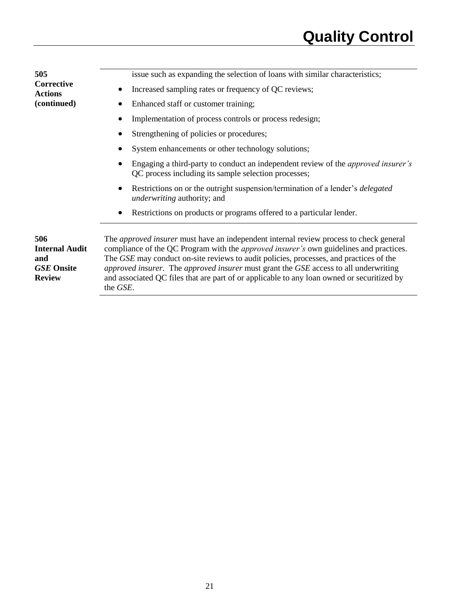| 505                                                                       | issue such as expanding the selection of loans with similar characteristics;                                                                                                                                                                                                                                                                                                                                                                                                               |
|---------------------------------------------------------------------------|--------------------------------------------------------------------------------------------------------------------------------------------------------------------------------------------------------------------------------------------------------------------------------------------------------------------------------------------------------------------------------------------------------------------------------------------------------------------------------------------|
| Corrective<br><b>Actions</b>                                              | Increased sampling rates or frequency of QC reviews;                                                                                                                                                                                                                                                                                                                                                                                                                                       |
| (continued)                                                               | Enhanced staff or customer training;                                                                                                                                                                                                                                                                                                                                                                                                                                                       |
|                                                                           | Implementation of process controls or process redesign;                                                                                                                                                                                                                                                                                                                                                                                                                                    |
|                                                                           | Strengthening of policies or procedures;                                                                                                                                                                                                                                                                                                                                                                                                                                                   |
|                                                                           | System enhancements or other technology solutions;                                                                                                                                                                                                                                                                                                                                                                                                                                         |
|                                                                           | Engaging a third-party to conduct an independent review of the <i>approved insurer's</i><br>QC process including its sample selection processes;                                                                                                                                                                                                                                                                                                                                           |
|                                                                           | Restrictions on or the outright suspension/termination of a lender's <i>delegated</i><br><i>underwriting</i> authority; and                                                                                                                                                                                                                                                                                                                                                                |
|                                                                           | Restrictions on products or programs offered to a particular lender.                                                                                                                                                                                                                                                                                                                                                                                                                       |
| 506<br><b>Internal Audit</b><br>and<br><b>GSE</b> Onsite<br><b>Review</b> | The <i>approved insurer</i> must have an independent internal review process to check general<br>compliance of the QC Program with the <i>approved insurer's</i> own guidelines and practices.<br>The GSE may conduct on-site reviews to audit policies, processes, and practices of the<br>approved insurer. The approved insurer must grant the GSE access to all underwriting<br>and associated QC files that are part of or applicable to any loan owned or securitized by<br>the GSE. |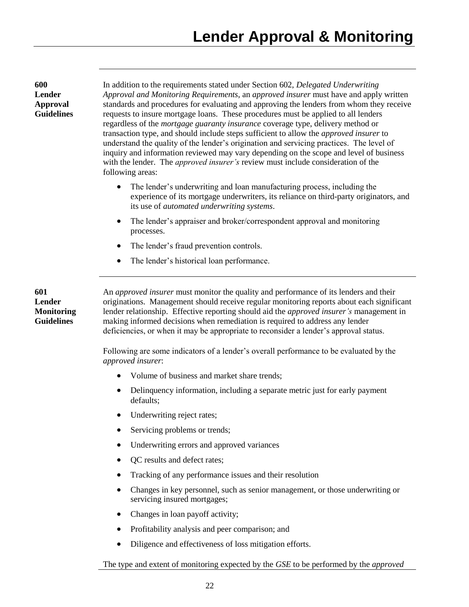**600 Lender Approval Guidelines**

In addition to the requirements stated under Section 602, *Delegated Underwriting Approval and Monitoring Requirements*, an *approved insurer* must have and apply written standards and procedures for evaluating and approving the lenders from whom they receive requests to insure mortgage loans. These procedures must be applied to all lenders regardless of the *mortgage guaranty insurance* coverage type, delivery method or transaction type, and should include steps sufficient to allow the *approved insurer* to understand the quality of the lender's origination and servicing practices. The level of inquiry and information reviewed may vary depending on the scope and level of business with the lender. The *approved insurer's* review must include consideration of the following areas:

- The lender's underwriting and loan manufacturing process, including the experience of its mortgage underwriters, its reliance on third-party originators, and its use of *automated underwriting systems*.
- The lender's appraiser and broker/correspondent approval and monitoring processes.
- The lender's fraud prevention controls.
- The lender's historical loan performance.

**601 Lender Monitoring Guidelines**

An *approved insurer* must monitor the quality and performance of its lenders and their originations. Management should receive regular monitoring reports about each significant lender relationship. Effective reporting should aid the *approved insurer's* management in making informed decisions when remediation is required to address any lender deficiencies, or when it may be appropriate to reconsider a lender's approval status.

Following are some indicators of a lender's overall performance to be evaluated by the *approved insurer*:

- Volume of business and market share trends;
- Delinquency information, including a separate metric just for early payment defaults;
- Underwriting reject rates;
- Servicing problems or trends;
- Underwriting errors and approved variances
- OC results and defect rates;
- Tracking of any performance issues and their resolution
- Changes in key personnel, such as senior management, or those underwriting or servicing insured mortgages;
- Changes in loan payoff activity;
- Profitability analysis and peer comparison; and
- Diligence and effectiveness of loss mitigation efforts.

The type and extent of monitoring expected by the *GSE* to be performed by the *approved*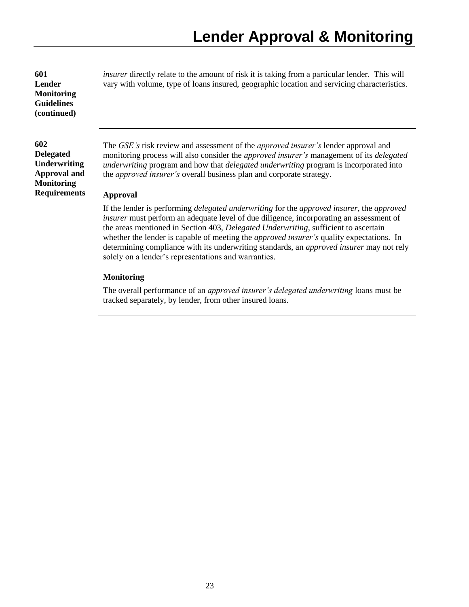**601 Lender Monitoring Guidelines (continued)**

# **602**

**Delegated Underwriting Approval and Monitoring Requirements**

*insurer* directly relate to the amount of risk it is taking from a particular lender. This will vary with volume, type of loans insured, geographic location and servicing characteristics.

The *GSE's* risk review and assessment of the *approved insurer's* lender approval and monitoring process will also consider the *approved insurer's* management of its *delegated underwriting* program and how that *delegated underwriting* program is incorporated into the *approved insurer's* overall business plan and corporate strategy.

# **Approval**

If the lender is performing *delegated underwriting* for the *approved insurer,* the *approved insurer* must perform an adequate level of due diligence, incorporating an assessment of the areas mentioned in Section 403, *Delegated Underwriting*, sufficient to ascertain whether the lender is capable of meeting the *approved insurer's* quality expectations. In determining compliance with its underwriting standards, an *approved insurer* may not rely solely on a lender's representations and warranties.

## **Monitoring**

The overall performance of an *approved insurer's delegated underwriting* loans must be tracked separately, by lender, from other insured loans.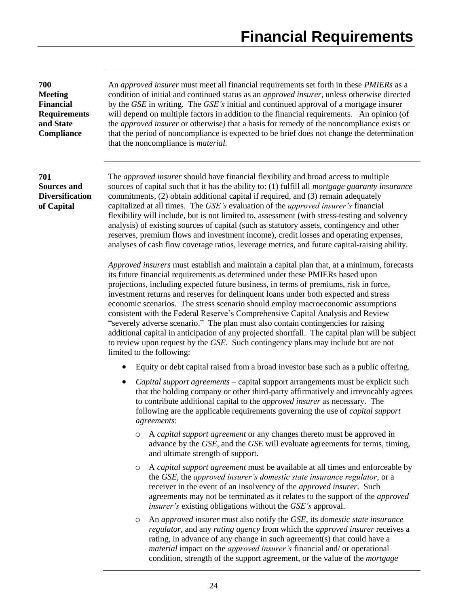**700 Meeting Financial Requirements and State Compliance**

An *approved insurer* must meet all financial requirements set forth in these *PMIERs* as a condition of initial and continued status as an *approved insurer*, unless otherwise directed by the *GSE* in writing. The *GSE's* initial and continued approval of a mortgage insurer will depend on multiple factors in addition to the financial requirements. An opinion (of the *approved insurer* or otherwise*)* that a basis for remedy of the noncompliance exists or that the period of noncompliance is expected to be brief does not change the determination that the noncompliance is *material.* 

**701 Sources and Diversification of Capital**

The *approved insurer* should have financial flexibility and broad access to multiple sources of capital such that it has the ability to: (1) fulfill all *mortgage guaranty insurance* commitments, (2) obtain additional capital if required, and (3) remain adequately capitalized at all times. The *GSE's* evaluation of the *approved insurer's* financial flexibility will include, but is not limited to, assessment (with stress-testing and solvency analysis) of existing sources of capital (such as statutory assets, contingency and other reserves, premium flows and investment income), credit losses and operating expenses, analyses of cash flow coverage ratios, leverage metrics, and future capital-raising ability.

*Approved insurers* must establish and maintain a capital plan that, at a minimum, forecasts its future financial requirements as determined under these PMIERs based upon projections, including expected future business, in terms of premiums, risk in force, investment returns and reserves for delinquent loans under both expected and stress economic scenarios. The stress scenario should employ macroeconomic assumptions consistent with the Federal Reserve's Comprehensive Capital Analysis and Review "severely adverse scenario." The plan must also contain contingencies for raising additional capital in anticipation of any projected shortfall. The capital plan will be subject to review upon request by the *GSE*. Such contingency plans may include but are not limited to the following:

- Equity or debt capital raised from a broad investor base such as a public offering.
- *Capital support agreements* capital support arrangements must be explicit such that the holding company or other third-party affirmatively and irrevocably agrees to contribute additional capital to the *approved insurer* as necessary. The following are the applicable requirements governing the use of *capital support agreements*:
	- o A *capital support agreement* or any changes thereto must be approved in advance by the *GSE*, and the *GSE* will evaluate agreements for terms, timing, and ultimate strength of support.
	- o A *capital support agreement* must be available at all times and enforceable by the *GSE,* the *approved insurer's domestic state insurance regulator*, or a receiver in the event of an insolvency of the *approved insurer*. Such agreements may not be terminated as it relates to the support of the *approved insurer's* existing obligations without the *GSE's* approval.
	- o An *approved insurer* must also notify the *GSE,* its *domestic state insurance regulator,* and any *rating agency* from which the *approved insurer* receives a rating, in advance of any change in such agreement(s) that could have a *material* impact on the *approved insurer's* financial and/ or operational condition, strength of the support agreement, or the value of the *mortgage*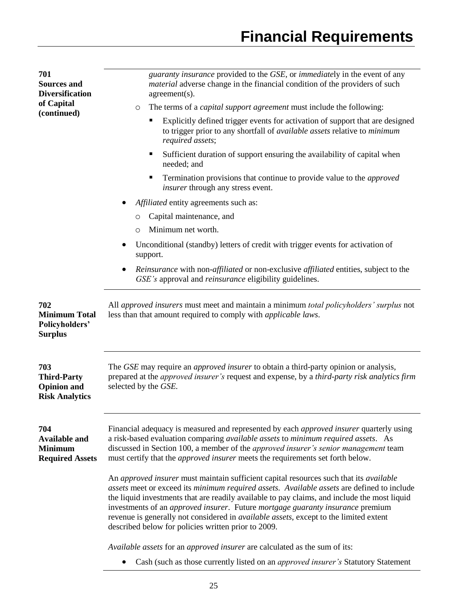| 701<br><b>Sources and</b><br><b>Diversification</b>                      | guaranty insurance provided to the GSE, or immediately in the event of any<br><i>material</i> adverse change in the financial condition of the providers of such<br>agreement(s).                                                                                                                                                                                                                                                                                                                                              |  |  |  |  |  |
|--------------------------------------------------------------------------|--------------------------------------------------------------------------------------------------------------------------------------------------------------------------------------------------------------------------------------------------------------------------------------------------------------------------------------------------------------------------------------------------------------------------------------------------------------------------------------------------------------------------------|--|--|--|--|--|
| of Capital                                                               | The terms of a <i>capital support agreement</i> must include the following:<br>O                                                                                                                                                                                                                                                                                                                                                                                                                                               |  |  |  |  |  |
| (continued)                                                              | Explicitly defined trigger events for activation of support that are designed<br>to trigger prior to any shortfall of available assets relative to minimum<br>required assets;                                                                                                                                                                                                                                                                                                                                                 |  |  |  |  |  |
|                                                                          | Sufficient duration of support ensuring the availability of capital when<br>needed; and                                                                                                                                                                                                                                                                                                                                                                                                                                        |  |  |  |  |  |
|                                                                          | Termination provisions that continue to provide value to the <i>approved</i><br>п<br><i>insurer</i> through any stress event.                                                                                                                                                                                                                                                                                                                                                                                                  |  |  |  |  |  |
|                                                                          | Affiliated entity agreements such as:                                                                                                                                                                                                                                                                                                                                                                                                                                                                                          |  |  |  |  |  |
|                                                                          | Capital maintenance, and<br>O                                                                                                                                                                                                                                                                                                                                                                                                                                                                                                  |  |  |  |  |  |
|                                                                          | Minimum net worth.<br>$\circ$                                                                                                                                                                                                                                                                                                                                                                                                                                                                                                  |  |  |  |  |  |
|                                                                          | Unconditional (standby) letters of credit with trigger events for activation of<br>support.                                                                                                                                                                                                                                                                                                                                                                                                                                    |  |  |  |  |  |
|                                                                          | Reinsurance with non-affiliated or non-exclusive affiliated entities, subject to the<br>GSE's approval and reinsurance eligibility guidelines.                                                                                                                                                                                                                                                                                                                                                                                 |  |  |  |  |  |
| 702<br><b>Minimum Total</b><br>Policyholders'<br><b>Surplus</b>          | All approved insurers must meet and maintain a minimum total policyholders' surplus not<br>less than that amount required to comply with <i>applicable laws</i> .                                                                                                                                                                                                                                                                                                                                                              |  |  |  |  |  |
| 703<br><b>Third-Party</b><br><b>Opinion</b> and<br><b>Risk Analytics</b> | The GSE may require an <i>approved insurer</i> to obtain a third-party opinion or analysis,<br>prepared at the <i>approved insurer's</i> request and expense, by a <i>third-party risk analytics firm</i><br>selected by the GSE.                                                                                                                                                                                                                                                                                              |  |  |  |  |  |
| 704<br><b>Available and</b><br><b>Minimum</b><br><b>Required Assets</b>  | Financial adequacy is measured and represented by each <i>approved insurer</i> quarterly using<br>a risk-based evaluation comparing available assets to minimum required assets. As<br>discussed in Section 100, a member of the approved insurer's senior management team<br>must certify that the <i>approved insurer</i> meets the requirements set forth below.                                                                                                                                                            |  |  |  |  |  |
|                                                                          | An approved insurer must maintain sufficient capital resources such that its available<br>assets meet or exceed its minimum required assets. Available assets are defined to include<br>the liquid investments that are readily available to pay claims, and include the most liquid<br>investments of an approved insurer. Future mortgage guaranty insurance premium<br>revenue is generally not considered in <i>available assets</i> , except to the limited extent<br>described below for policies written prior to 2009. |  |  |  |  |  |
|                                                                          | Available assets for an approved insurer are calculated as the sum of its:                                                                                                                                                                                                                                                                                                                                                                                                                                                     |  |  |  |  |  |
|                                                                          | Cash (such as those currently listed on an <i>approved insurer's</i> Statutory Statement                                                                                                                                                                                                                                                                                                                                                                                                                                       |  |  |  |  |  |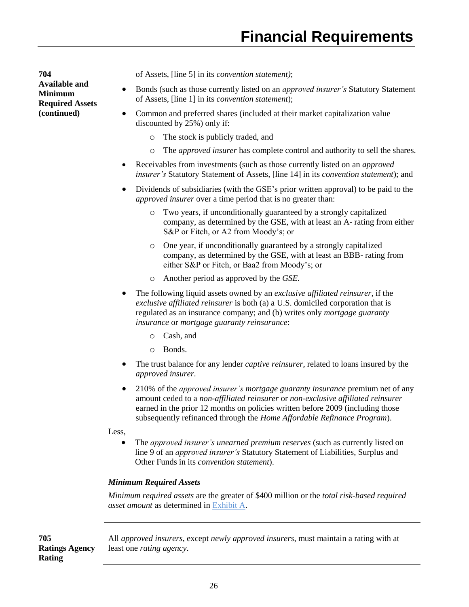**704 Available and Minimum Required Assets (continued)**

of Assets, [line 5] in its *convention statement)*;

- Bonds (such as those currently listed on an *approved insurer's* Statutory Statement of Assets, [line 1] in its *convention statement*);
- Common and preferred shares (included at their market capitalization value discounted by 25%) only if:
	- o The stock is publicly traded, and
	- o The *approved insurer* has complete control and authority to sell the shares.
- Receivables from investments (such as those currently listed on an *approved insurer's* Statutory Statement of Assets, [line 14] in its *convention statement*); and
- Dividends of subsidiaries (with the GSE's prior written approval) to be paid to the *approved insurer* over a time period that is no greater than:
	- o Two years, if unconditionally guaranteed by a strongly capitalized company, as determined by the GSE, with at least an A- rating from either S&P or Fitch, or A2 from Moody's; or
	- o One year, if unconditionally guaranteed by a strongly capitalized company, as determined by the GSE, with at least an BBB- rating from either S&P or Fitch, or Baa2 from Moody's; or
	- o Another period as approved by the *GSE.*
- The following liquid assets owned by an *exclusive affiliated reinsurer,* if the *exclusive affiliated reinsurer* is both (a) a U.S. domiciled corporation that is regulated as an insurance company; and (b) writes only *mortgage guaranty insurance* or *mortgage guaranty reinsurance*:
	- o Cash, and
	- o Bonds.
- The trust balance for any lender *captive reinsurer*, related to loans insured by the *approved insurer.*
- 210% of the *approved insurer's mortgage guaranty insurance* premium net of any amount ceded to a *non-affiliated reinsurer* or *non-exclusive affiliated reinsurer* earned in the prior 12 months on policies written before 2009 (including those subsequently refinanced through the *Home Affordable Refinance Program*).

Less,

 The *approved insurer's unearned premium reserves* (such as currently listed on line 9 of an *approved insurer's* Statutory Statement of Liabilities, Surplus and Other Funds in its *convention statement*).

#### *Minimum Required Assets*

*Minimum required assets* are the greater of \$400 million or the *total risk-based required asset amount* as determined i[n Exhibit A.](#page-37-0)

**705 Ratings Agency Rating**

All *approved insurers*, except *newly approved insurers*, must maintain a rating with at least one *rating agency*.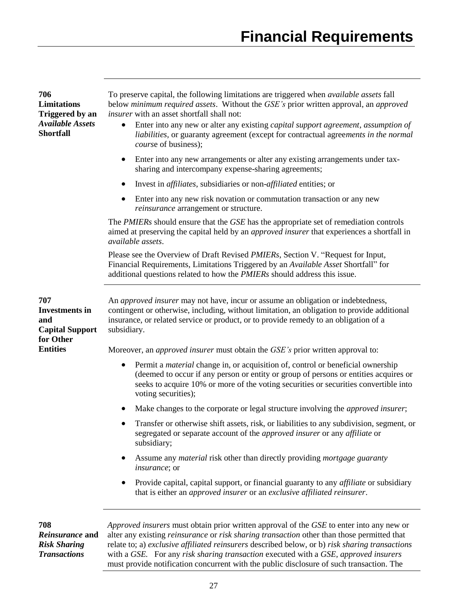| 706<br>Limitations<br><b>Triggered by an</b><br><b>Available Assets</b><br><b>Shortfall</b> | To preserve capital, the following limitations are triggered when <i>available assets</i> fall<br>below <i>minimum required assets</i> . Without the GSE's prior written approval, an <i>approved</i><br>insurer with an asset shortfall shall not:<br>Enter into any new or alter any existing <i>capital support agreement</i> , <i>assumption of</i><br>liabilities, or guaranty agreement (except for contractual agreements in the normal<br>course of business); |  |  |  |  |
|---------------------------------------------------------------------------------------------|------------------------------------------------------------------------------------------------------------------------------------------------------------------------------------------------------------------------------------------------------------------------------------------------------------------------------------------------------------------------------------------------------------------------------------------------------------------------|--|--|--|--|
|                                                                                             | Enter into any new arrangements or alter any existing arrangements under tax-<br>sharing and intercompany expense-sharing agreements;                                                                                                                                                                                                                                                                                                                                  |  |  |  |  |
|                                                                                             | Invest in <i>affiliates</i> , subsidiaries or non- <i>affiliated</i> entities; or                                                                                                                                                                                                                                                                                                                                                                                      |  |  |  |  |
|                                                                                             | Enter into any new risk novation or commutation transaction or any new<br>reinsurance arrangement or structure.                                                                                                                                                                                                                                                                                                                                                        |  |  |  |  |
|                                                                                             | The PMIERs should ensure that the GSE has the appropriate set of remediation controls<br>aimed at preserving the capital held by an <i>approved insurer</i> that experiences a shortfall in<br>available assets.                                                                                                                                                                                                                                                       |  |  |  |  |
|                                                                                             | Please see the Overview of Draft Revised <i>PMIERs</i> , Section V. "Request for Input,<br>Financial Requirements, Limitations Triggered by an Available Asset Shortfall" for<br>additional questions related to how the <i>PMIERs</i> should address this issue.                                                                                                                                                                                                      |  |  |  |  |
| 707<br><b>Investments</b> in<br>and<br><b>Capital Support</b><br>for Other                  | An <i>approved insurer</i> may not have, incur or assume an obligation or indebtedness,<br>contingent or otherwise, including, without limitation, an obligation to provide additional<br>insurance, or related service or product, or to provide remedy to an obligation of a<br>subsidiary.                                                                                                                                                                          |  |  |  |  |
| <b>Entities</b>                                                                             | Moreover, an <i>approved insurer</i> must obtain the <i>GSE's</i> prior written approval to:                                                                                                                                                                                                                                                                                                                                                                           |  |  |  |  |
|                                                                                             | Permit a <i>material</i> change in, or acquisition of, control or beneficial ownership<br>$\bullet$<br>(deemed to occur if any person or entity or group of persons or entities acquires or<br>seeks to acquire 10% or more of the voting securities or securities convertible into<br>voting securities);                                                                                                                                                             |  |  |  |  |
|                                                                                             | Make changes to the corporate or legal structure involving the <i>approved insurer</i> ;                                                                                                                                                                                                                                                                                                                                                                               |  |  |  |  |
|                                                                                             | Transfer or otherwise shift assets, risk, or liabilities to any subdivision, segment, or<br>segregated or separate account of the <i>approved insurer</i> or any <i>affiliate</i> or<br>subsidiary;                                                                                                                                                                                                                                                                    |  |  |  |  |
|                                                                                             | Assume any <i>material</i> risk other than directly providing <i>mortgage guaranty</i><br><i>insurance</i> ; or                                                                                                                                                                                                                                                                                                                                                        |  |  |  |  |
|                                                                                             | Provide capital, capital support, or financial guaranty to any <i>affiliate</i> or subsidiary<br>that is either an approved insurer or an exclusive affiliated reinsurer.                                                                                                                                                                                                                                                                                              |  |  |  |  |
| 708<br>Reinsurance and<br><b>Risk Sharing</b><br><b>Transactions</b>                        | Approved insurers must obtain prior written approval of the GSE to enter into any new or<br>alter any existing <i>reinsurance</i> or <i>risk sharing transaction</i> other than those permitted that<br>relate to; a) exclusive affiliated reinsurers described below, or b) risk sharing transactions<br>with a GSE. For any risk sharing transaction executed with a GSE, approved insurers                                                                          |  |  |  |  |

must provide notification concurrent with the public disclosure of such transaction. The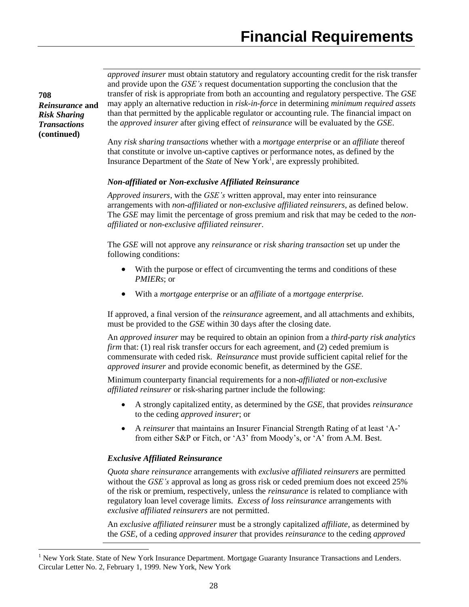*approved insurer* must obtain statutory and regulatory accounting credit for the risk transfer and provide upon the *GSE's* request documentation supporting the conclusion that the transfer of risk is appropriate from both an accounting and regulatory perspective. The *GSE* may apply an alternative reduction in *risk-in-force* in determining *minimum required assets* than that permitted by the applicable regulator or accounting rule. The financial impact on the *approved insurer* after giving effect of *reinsurance* will be evaluated by the *GSE*.

Any *risk sharing transactions* whether with a *mortgage enterprise* or an *affiliate* thereof that constitute or involve un-captive captives or performance notes, as defined by the Insurance Department of the *State* of New York<sup>1</sup>, are expressly prohibited.

## *Non***-***affiliated* **or** *Non-exclusive Affiliated Reinsurance*

*Approved insurers*, with the *GSE's* written approval, may enter into reinsurance arrangements with *non-affiliated* or *non-exclusive affiliated reinsurers*, as defined below. The *GSE* may limit the percentage of gross premium and risk that may be ceded to the *nonaffiliated* or *non-exclusive affiliated reinsurer*.

The *GSE* will not approve any *reinsurance* or *risk sharing transaction* set up under the following conditions:

- With the purpose or effect of circumventing the terms and conditions of these *PMIERs*; or
- With a *mortgage enterprise* or an *affiliate* of a *mortgage enterprise.*

If approved, a final version of the *reinsurance* agreement, and all attachments and exhibits, must be provided to the *GSE* within 30 days after the closing date.

An *approved insurer* may be required to obtain an opinion from a *third-party risk analytics firm* that: (1) real risk transfer occurs for each agreement, and (2) ceded premium is commensurate with ceded risk. *Reinsurance* must provide sufficient capital relief for the *approved insurer* and provide economic benefit, as determined by the *GSE*.

Minimum counterparty financial requirements for a non-*affiliated* or *non-exclusive affiliated reinsurer* or risk-sharing partner include the following:

- A strongly capitalized entity, as determined by the *GSE*, that provides *reinsurance* to the ceding *approved insurer*; or
- A *reinsurer* that maintains an Insurer Financial Strength Rating of at least 'A-' from either S&P or Fitch, or 'A3' from Moody's, or 'A' from A.M. Best.

#### *Exclusive Affiliated Reinsurance*

*Quota share reinsurance* arrangements with *exclusive affiliated reinsurers* are permitted without the *GSE's* approval as long as gross risk or ceded premium does not exceed 25% of the risk or premium, respectively, unless the *reinsurance* is related to compliance with regulatory loan level coverage limits. *Excess of loss reinsurance* arrangements with *exclusive affiliated reinsurers* are not permitted.

An *exclusive affiliated reinsurer* must be a strongly capitalized *affiliate*, as determined by the *GSE*, of a ceding *approved insurer* that provides *reinsurance* to the ceding *approved* 

**708** *Reinsurance* **and**  *Risk Sharing Transactions* **(continued)**

 $\overline{a}$ 

<sup>1</sup> New York State. State of New York Insurance Department. Mortgage Guaranty Insurance Transactions and Lenders. Circular Letter No. 2, February 1, 1999. New York, New York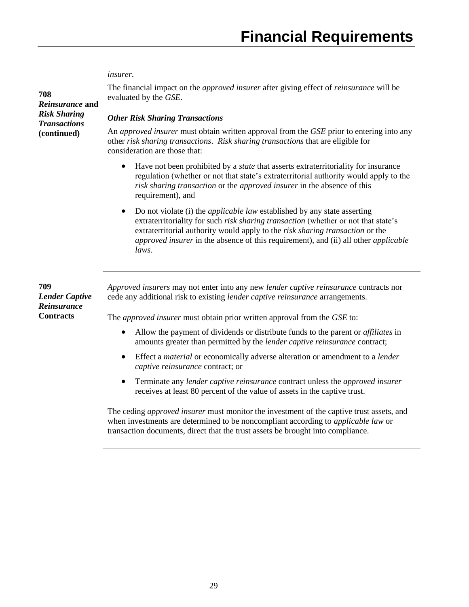#### *insurer.*

**708** *Reinsurance* **and**  *Risk Sharing Transactions* **(continued)**

The financial impact on the *approved insurer* after giving effect of *reinsurance* will be evaluated by the *GSE*.

## *Other Risk Sharing Transactions*

An *approved insurer* must obtain written approval from the *GSE* prior to entering into any other *risk sharing transactions*. *Risk sharing transactions* that are eligible for consideration are those that:

- Have not been prohibited by a *state* that asserts extraterritoriality for insurance regulation (whether or not that state's extraterritorial authority would apply to the *risk sharing transaction* or the *approved insurer* in the absence of this requirement), and
- Do not violate (i) the *applicable law* established by any state asserting extraterritoriality for such *risk sharing transaction* (whether or not that state's extraterritorial authority would apply to the *risk sharing transaction* or the *approved insurer* in the absence of this requirement), and (ii) all other *applicable laws*.

**709** *Lender Captive Reinsurance* **Contracts**

*Approved insurers* may not enter into any new *lender captive reinsurance* contracts nor cede any additional risk to existing *lender captive reinsurance* arrangements.

The *approved insurer* must obtain prior written approval from the *GSE* to:

- Allow the payment of dividends or distribute funds to the parent or *affiliates* in amounts greater than permitted by the *lender captive reinsurance* contract;
- Effect a *material* or economically adverse alteration or amendment to a *lender captive reinsurance* contract; or
- Terminate any *lender captive reinsurance* contract unless the *approved insurer* receives at least 80 percent of the value of assets in the captive trust.

The ceding *approved insurer* must monitor the investment of the captive trust assets, and when investments are determined to be noncompliant according to *applicable law* or transaction documents, direct that the trust assets be brought into compliance.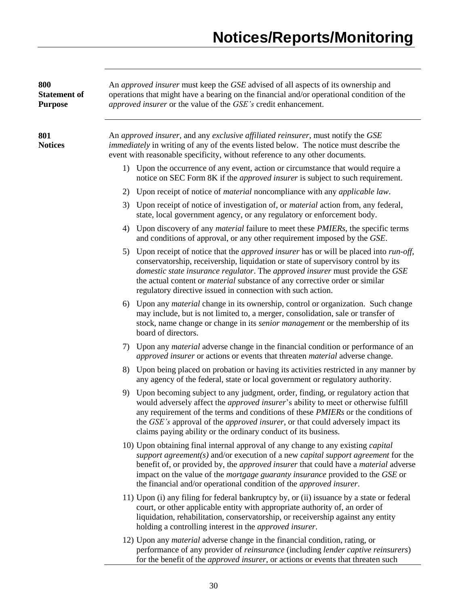| 800<br><b>Statement of</b><br><b>Purpose</b> | An approved insurer must keep the GSE advised of all aspects of its ownership and<br>operations that might have a bearing on the financial and/or operational condition of the<br>approved insurer or the value of the GSE's credit enhancement.                                                                                                                                                                                                        |  |  |  |  |  |  |
|----------------------------------------------|---------------------------------------------------------------------------------------------------------------------------------------------------------------------------------------------------------------------------------------------------------------------------------------------------------------------------------------------------------------------------------------------------------------------------------------------------------|--|--|--|--|--|--|
| 801<br><b>Notices</b>                        | An approved insurer, and any exclusive affiliated reinsurer, must notify the GSE<br><i>immediately</i> in writing of any of the events listed below. The notice must describe the<br>event with reasonable specificity, without reference to any other documents.                                                                                                                                                                                       |  |  |  |  |  |  |
|                                              | 1) Upon the occurrence of any event, action or circumstance that would require a<br>notice on SEC Form 8K if the <i>approved insurer</i> is subject to such requirement.                                                                                                                                                                                                                                                                                |  |  |  |  |  |  |
|                                              | 2) Upon receipt of notice of <i>material</i> noncompliance with any <i>applicable law</i> .                                                                                                                                                                                                                                                                                                                                                             |  |  |  |  |  |  |
|                                              | 3) Upon receipt of notice of investigation of, or <i>material</i> action from, any federal,<br>state, local government agency, or any regulatory or enforcement body.                                                                                                                                                                                                                                                                                   |  |  |  |  |  |  |
|                                              | Upon discovery of any <i>material</i> failure to meet these <i>PMIERs</i> , the specific terms<br>4)<br>and conditions of approval, or any other requirement imposed by the GSE.                                                                                                                                                                                                                                                                        |  |  |  |  |  |  |
|                                              | 5) Upon receipt of notice that the <i>approved insurer</i> has or will be placed into <i>run-off</i> ,<br>conservatorship, receivership, liquidation or state of supervisory control by its<br>domestic state insurance regulator. The approved insurer must provide the GSE<br>the actual content or <i>material</i> substance of any corrective order or similar<br>regulatory directive issued in connection with such action.                       |  |  |  |  |  |  |
|                                              | 6) Upon any <i>material</i> change in its ownership, control or organization. Such change<br>may include, but is not limited to, a merger, consolidation, sale or transfer of<br>stock, name change or change in its <i>senior management</i> or the membership of its<br>board of directors.                                                                                                                                                           |  |  |  |  |  |  |
|                                              | 7) Upon any <i>material</i> adverse change in the financial condition or performance of an<br>approved insurer or actions or events that threaten material adverse change.                                                                                                                                                                                                                                                                              |  |  |  |  |  |  |
|                                              | 8) Upon being placed on probation or having its activities restricted in any manner by<br>any agency of the federal, state or local government or regulatory authority.                                                                                                                                                                                                                                                                                 |  |  |  |  |  |  |
|                                              | Upon becoming subject to any judgment, order, finding, or regulatory action that<br>9)<br>would adversely affect the <i>approved insurer's</i> ability to meet or otherwise fulfill<br>any requirement of the terms and conditions of these <i>PMIERs</i> or the conditions of<br>the <i>GSE's</i> approval of the <i>approved insurer</i> , or that could adversely impact its<br>claims paying ability or the ordinary conduct of its business.       |  |  |  |  |  |  |
|                                              | 10) Upon obtaining final internal approval of any change to any existing <i>capital</i><br>support agreement(s) and/or execution of a new <i>capital support agreement</i> for the<br>benefit of, or provided by, the <i>approved insurer</i> that could have a <i>material</i> adverse<br>impact on the value of the mortgage guaranty insurance provided to the GSE or<br>the financial and/or operational condition of the <i>approved insurer</i> . |  |  |  |  |  |  |
|                                              | 11) Upon (i) any filing for federal bankruptcy by, or (ii) issuance by a state or federal<br>court, or other applicable entity with appropriate authority of, an order of<br>liquidation, rehabilitation, conservatorship, or receivership against any entity<br>holding a controlling interest in the <i>approved insurer</i> .                                                                                                                        |  |  |  |  |  |  |
|                                              | 12) Upon any <i>material</i> adverse change in the financial condition, rating, or<br>performance of any provider of reinsurance (including lender captive reinsurers)<br>for the benefit of the <i>approved insurer</i> , or actions or events that threaten such                                                                                                                                                                                      |  |  |  |  |  |  |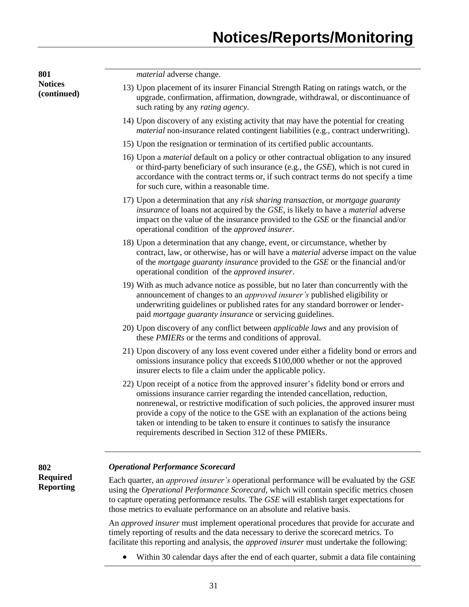**Notices (continued)** *material* adverse change. 13) Upon placement of its insurer Financial Strength Rating on ratings watch, or the upgrade, confirmation, affirmation, downgrade, withdrawal, or discontinuance of such rating by any *rating agency*. 14) Upon discovery of any existing activity that may have the potential for creating *material* non-insurance related contingent liabilities (e.g., contract underwriting). 15) Upon the resignation or termination of its certified public accountants. 16) Upon a *material* default on a policy or other contractual obligation to any insured or third-party beneficiary of such insurance (e.g., the *GSE*), which is not cured in accordance with the contract terms or, if such contract terms do not specify a time for such cure, within a reasonable time. 17) Upon a determination that any *risk sharing transaction,* or *mortgage guaranty insurance* of loans not acquired by the *GSE,* is likely to have a *material* adverse impact on the value of the insurance provided to the *GSE* or the financial and/or operational condition of the *approved insurer*. 18) Upon a determination that any change, event, or circumstance, whether by contract, law, or otherwise, has or will have a *material* adverse impact on the value of the *mortgage guaranty insurance* provided to the *GSE* or the financial and/or operational condition of the *approved insurer*. 19) With as much advance notice as possible, but no later than concurrently with the announcement of changes to an *approved insurer's* published eligibility or underwriting guidelines or published rates for any standard borrower or lenderpaid *mortgage guaranty insurance* or servicing guidelines. 20) Upon discovery of any conflict between *applicable laws* and any provision of these *PMIERs* or the terms and conditions of approval. 21) Upon discovery of any loss event covered under either a fidelity bond or errors and omissions insurance policy that exceeds \$100,000 whether or not the approved insurer elects to file a claim under the applicable policy. 22) Upon receipt of a notice from the approved insurer's fidelity bond or errors and omissions insurance carrier regarding the intended cancellation, reduction, nonrenewal, or restrictive modification of such policies, the approved insurer must provide a copy of the notice to the GSE with an explanation of the actions being taken or intending to be taken to ensure it continues to satisfy the insurance requirements described in Section 312 of these PMIERs. **Required Reporting** *Operational Performance Scorecard* Each quarter, an *approved insurer's* operational performance will be evaluated by the *GSE* using the *Operational Performance Scorecard*, which will contain specific metrics chosen to capture operating performance results. The *GSE* will establish target expectations for those metrics to evaluate performance on an absolute and relative basis. An *approved insurer* must implement operational procedures that provide for accurate and

**801**

**802**

timely reporting of results and the data necessary to derive the scorecard metrics. To facilitate this reporting and analysis, the *approved insurer* must undertake the following:

Within 30 calendar days after the end of each quarter, submit a data file containing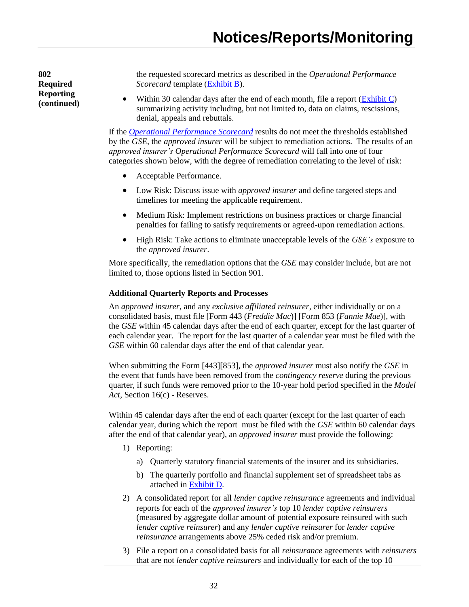**802 Required Reporting (continued)** the requested scorecard metrics as described in the *Operational Performance Scorecard* template [\(Exhibit B\)](http://www.fhfa.gov/PolicyProgramsResearch/Policy/Documents/PMIERs/Operational_Performance_Scorecard_Template_Exhbit_B_Draft.xls).

Within 30 calendar days after the end of each month, file a report [\(Exhibit C\)](http://www.fhfa.gov/PolicyProgramsResearch/Policy/Documents/PMIERs/MI_Reporting_Claims_Exhibit_C_Draft.xls) summarizing activity including, but not limited to, data on claims, rescissions, denial, appeals and rebuttals.

If the *[Operational Performance Scorecard](http://www.fhfa.gov/PolicyProgramsResearch/Policy/Documents/PMIERs/MI_Operational_Performance_Scorecard_Draft.xls)* results do not meet the thresholds established by the *GSE*, the *approved insurer* will be subject to remediation actions. The results of an *approved insurer's Operational Performance Scorecard* will fall into one of four categories shown below, with the degree of remediation correlating to the level of risk:

- Acceptable Performance.
- Low Risk: Discuss issue with *approved insurer* and define targeted steps and timelines for meeting the applicable requirement.
- Medium Risk: Implement restrictions on business practices or charge financial penalties for failing to satisfy requirements or agreed-upon remediation actions.
- High Risk: Take actions to eliminate unacceptable levels of the *GSE's* exposure to the *approved insurer*.

More specifically, the remediation options that the *GSE* may consider include, but are not limited to, those options listed in Section 901.

# **Additional Quarterly Reports and Processes**

An *approved insurer,* and any *exclusive affiliated reinsurer*, either individually or on a consolidated basis, must file [Form 443 (*Freddie Mac*)] [Form 853 (*Fannie Mae*)], with the *GSE* within 45 calendar days after the end of each quarter, except for the last quarter of each calendar year. The report for the last quarter of a calendar year must be filed with the *GSE* within 60 calendar days after the end of that calendar year.

When submitting the Form [443][853], the *approved insurer* must also notify the *GSE* in the event that funds have been removed from the *contingency reserve* during the previous quarter, if such funds were removed prior to the 10-year hold period specified in the *Model Act*, Section 16(c) - Reserves.

Within 45 calendar days after the end of each quarter (except for the last quarter of each calendar year, during which the report must be filed with the *GSE* within 60 calendar days after the end of that calendar year), an *approved insurer* must provide the following:

- 1) Reporting:
	- a) Quarterly statutory financial statements of the insurer and its subsidiaries.
	- b) The quarterly portfolio and financial supplement set of spreadsheet tabs as attached i[n Exhibit D.](http://www.fhfa.gov/PolicyProgramsResearch/Policy/Documents/PMIERs/Portfolio_and_Financial_Supplemental_Data_Exhibit_D_Draft.xls)
- 2) A consolidated report for all *lender captive reinsurance* agreements and individual reports for each of the *approved insurer's* top 10 *lender captive reinsurers* (measured by aggregate dollar amount of potential exposure reinsured with such *lender captive reinsurer*) and any *lender captive reinsurer* for *lender captive reinsurance* arrangements above 25% ceded risk and/or premium.
- 3) File a report on a consolidated basis for all *reinsurance* agreements with *reinsurers* that are not *lender captive reinsurers* and individually for each of the top 10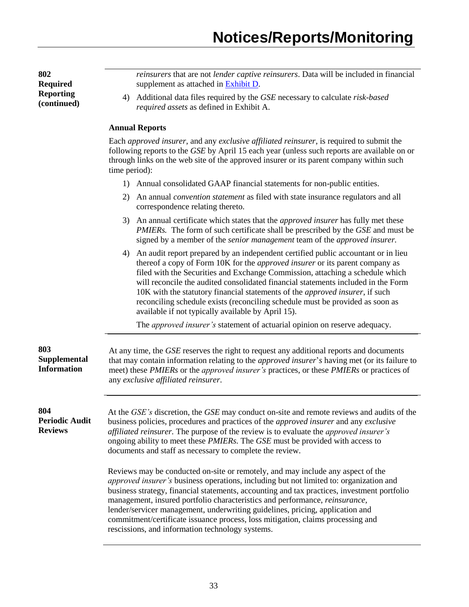**802 Required Reporting (continued)** *reinsurers* that are not *lender captive reinsurers*. Data will be included in financial supplement as attached in **Exhibit D**. 4) Additional data files required by the *GSE* necessary to calculate *risk-based required assets* as defined in Exhibit A. **Annual Reports** Each *approved insurer*, and any *exclusive affiliated reinsurer*, is required to submit the following reports to the *GSE* by April 15 each year (unless such reports are available on or through links on the web site of the approved insurer or its parent company within such time period): 1) Annual consolidated GAAP financial statements for non-public entities. 2) An annual *convention statement* as filed with state insurance regulators and all correspondence relating thereto. 3) An annual certificate which states that the *approved insurer* has fully met these *PMIERs.* The form of such certificate shall be prescribed by the *GSE* and must be signed by a member of the *senior management* team of the *approved insurer.* 4) An audit report prepared by an independent certified public accountant or in lieu thereof a copy of Form 10K for the *approved insurer* or its parent company as filed with the Securities and Exchange Commission, attaching a schedule which will reconcile the audited consolidated financial statements included in the Form 10K with the statutory financial statements of the *approved insurer*, if such reconciling schedule exists (reconciling schedule must be provided as soon as available if not typically available by April 15). The *approved insurer's* statement of actuarial opinion on reserve adequacy. **803 Supplemental Information** At any time, the *GSE* reserves the right to request any additional reports and documents that may contain information relating to the *approved insurer*'*s* having met (or its failure to meet) these *PMIERs* or the *approved insurer's* practices, or these *PMIERs* or practices of any *exclusive affiliated reinsurer*. **804 Periodic Audit Reviews** At the *GSE's* discretion, the *GSE* may conduct on-site and remote reviews and audits of the business policies, procedures and practices of the *approved insurer* and any *exclusive affiliated reinsurer.* The purpose of the review is to evaluate the *approved insurer's*  ongoing ability to meet these *PMIERs.* The *GSE* must be provided with access to documents and staff as necessary to complete the review. Reviews may be conducted on-site or remotely, and may include any aspect of the *approved insurer's* business operations, including but not limited to: organization and business strategy, financial statements, accounting and tax practices, investment portfolio management, insured portfolio characteristics and performance, *reinsurance,* lender/servicer management, underwriting guidelines, pricing, application and commitment/certificate issuance process, loss mitigation, claims processing and rescissions, and information technology systems.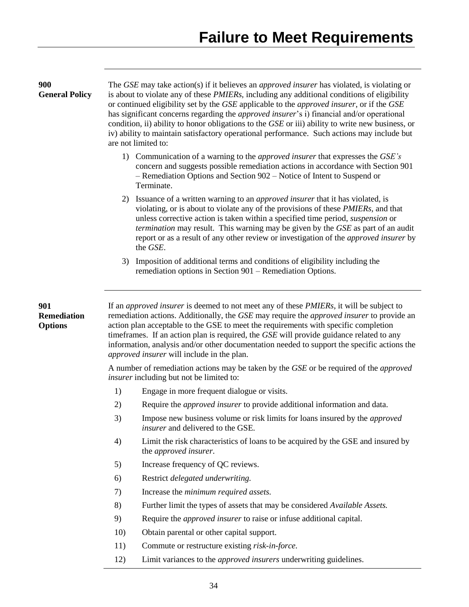| 900<br><b>General Policy</b>                                                                                                                                                                                                                                                                                                                                                                                                                                               | The GSE may take action(s) if it believes an <i>approved insurer</i> has violated, is violating or<br>is about to violate any of these <i>PMIERs</i> , including any additional conditions of eligibility<br>or continued eligibility set by the GSE applicable to the <i>approved insurer</i> , or if the GSE<br>has significant concerns regarding the <i>approved insurer's</i> i) financial and/or operational<br>condition, ii) ability to honor obligations to the GSE or iii) ability to write new business, or<br>iv) ability to maintain satisfactory operational performance. Such actions may include but<br>are not limited to: |                                                                                                                                                                                                                                                                                                                                                                                                                                                                                                                                                   |  |  |  |  |  |
|----------------------------------------------------------------------------------------------------------------------------------------------------------------------------------------------------------------------------------------------------------------------------------------------------------------------------------------------------------------------------------------------------------------------------------------------------------------------------|---------------------------------------------------------------------------------------------------------------------------------------------------------------------------------------------------------------------------------------------------------------------------------------------------------------------------------------------------------------------------------------------------------------------------------------------------------------------------------------------------------------------------------------------------------------------------------------------------------------------------------------------|---------------------------------------------------------------------------------------------------------------------------------------------------------------------------------------------------------------------------------------------------------------------------------------------------------------------------------------------------------------------------------------------------------------------------------------------------------------------------------------------------------------------------------------------------|--|--|--|--|--|
|                                                                                                                                                                                                                                                                                                                                                                                                                                                                            |                                                                                                                                                                                                                                                                                                                                                                                                                                                                                                                                                                                                                                             | 1) Communication of a warning to the <i>approved insurer</i> that expresses the GSE's<br>concern and suggests possible remediation actions in accordance with Section 901<br>- Remediation Options and Section 902 – Notice of Intent to Suspend or<br>Terminate.                                                                                                                                                                                                                                                                                 |  |  |  |  |  |
| Issuance of a written warning to an <i>approved insurer</i> that it has violated, is<br>2)<br>violating, or is about to violate any of the provisions of these <i>PMIERs</i> , and that<br>unless corrective action is taken within a specified time period, <i>suspension</i> or<br>termination may result. This warning may be given by the GSE as part of an audit<br>report or as a result of any other review or investigation of the approved insurer by<br>the GSE. |                                                                                                                                                                                                                                                                                                                                                                                                                                                                                                                                                                                                                                             |                                                                                                                                                                                                                                                                                                                                                                                                                                                                                                                                                   |  |  |  |  |  |
|                                                                                                                                                                                                                                                                                                                                                                                                                                                                            | 3)                                                                                                                                                                                                                                                                                                                                                                                                                                                                                                                                                                                                                                          | Imposition of additional terms and conditions of eligibility including the<br>remediation options in Section 901 – Remediation Options.                                                                                                                                                                                                                                                                                                                                                                                                           |  |  |  |  |  |
| 901<br><b>Remediation</b><br><b>Options</b>                                                                                                                                                                                                                                                                                                                                                                                                                                |                                                                                                                                                                                                                                                                                                                                                                                                                                                                                                                                                                                                                                             | If an <i>approved insurer</i> is deemed to not meet any of these <i>PMIERs</i> , it will be subject to<br>remediation actions. Additionally, the GSE may require the <i>approved insurer</i> to provide an<br>action plan acceptable to the GSE to meet the requirements with specific completion<br>time frames. If an action plan is required, the GSE will provide guidance related to any<br>information, analysis and/or other documentation needed to support the specific actions the<br><i>approved insurer</i> will include in the plan. |  |  |  |  |  |
|                                                                                                                                                                                                                                                                                                                                                                                                                                                                            |                                                                                                                                                                                                                                                                                                                                                                                                                                                                                                                                                                                                                                             | A number of remediation actions may be taken by the GSE or be required of the approved<br><i>insurer</i> including but not be limited to:                                                                                                                                                                                                                                                                                                                                                                                                         |  |  |  |  |  |
|                                                                                                                                                                                                                                                                                                                                                                                                                                                                            | 1)                                                                                                                                                                                                                                                                                                                                                                                                                                                                                                                                                                                                                                          | Engage in more frequent dialogue or visits.                                                                                                                                                                                                                                                                                                                                                                                                                                                                                                       |  |  |  |  |  |
|                                                                                                                                                                                                                                                                                                                                                                                                                                                                            | 2)                                                                                                                                                                                                                                                                                                                                                                                                                                                                                                                                                                                                                                          | Require the <i>approved insurer</i> to provide additional information and data.                                                                                                                                                                                                                                                                                                                                                                                                                                                                   |  |  |  |  |  |
|                                                                                                                                                                                                                                                                                                                                                                                                                                                                            | 3)                                                                                                                                                                                                                                                                                                                                                                                                                                                                                                                                                                                                                                          | Impose new business volume or risk limits for loans insured by the <i>approved</i><br><i>insurer</i> and delivered to the GSE.                                                                                                                                                                                                                                                                                                                                                                                                                    |  |  |  |  |  |
|                                                                                                                                                                                                                                                                                                                                                                                                                                                                            | 4)                                                                                                                                                                                                                                                                                                                                                                                                                                                                                                                                                                                                                                          | Limit the risk characteristics of loans to be acquired by the GSE and insured by<br>the <i>approved</i> insurer.                                                                                                                                                                                                                                                                                                                                                                                                                                  |  |  |  |  |  |
|                                                                                                                                                                                                                                                                                                                                                                                                                                                                            | 5)                                                                                                                                                                                                                                                                                                                                                                                                                                                                                                                                                                                                                                          | Increase frequency of QC reviews.                                                                                                                                                                                                                                                                                                                                                                                                                                                                                                                 |  |  |  |  |  |
|                                                                                                                                                                                                                                                                                                                                                                                                                                                                            | 6)                                                                                                                                                                                                                                                                                                                                                                                                                                                                                                                                                                                                                                          | Restrict delegated underwriting.                                                                                                                                                                                                                                                                                                                                                                                                                                                                                                                  |  |  |  |  |  |
|                                                                                                                                                                                                                                                                                                                                                                                                                                                                            | 7)                                                                                                                                                                                                                                                                                                                                                                                                                                                                                                                                                                                                                                          | Increase the minimum required assets.                                                                                                                                                                                                                                                                                                                                                                                                                                                                                                             |  |  |  |  |  |
|                                                                                                                                                                                                                                                                                                                                                                                                                                                                            | 8)                                                                                                                                                                                                                                                                                                                                                                                                                                                                                                                                                                                                                                          | Further limit the types of assets that may be considered Available Assets.                                                                                                                                                                                                                                                                                                                                                                                                                                                                        |  |  |  |  |  |
|                                                                                                                                                                                                                                                                                                                                                                                                                                                                            | 9)                                                                                                                                                                                                                                                                                                                                                                                                                                                                                                                                                                                                                                          | Require the <i>approved insurer</i> to raise or infuse additional capital.                                                                                                                                                                                                                                                                                                                                                                                                                                                                        |  |  |  |  |  |
|                                                                                                                                                                                                                                                                                                                                                                                                                                                                            | 10)                                                                                                                                                                                                                                                                                                                                                                                                                                                                                                                                                                                                                                         | Obtain parental or other capital support.                                                                                                                                                                                                                                                                                                                                                                                                                                                                                                         |  |  |  |  |  |
|                                                                                                                                                                                                                                                                                                                                                                                                                                                                            | 11)                                                                                                                                                                                                                                                                                                                                                                                                                                                                                                                                                                                                                                         | Commute or restructure existing risk-in-force.                                                                                                                                                                                                                                                                                                                                                                                                                                                                                                    |  |  |  |  |  |
|                                                                                                                                                                                                                                                                                                                                                                                                                                                                            | 12)                                                                                                                                                                                                                                                                                                                                                                                                                                                                                                                                                                                                                                         | Limit variances to the <i>approved insurers</i> underwriting guidelines.                                                                                                                                                                                                                                                                                                                                                                                                                                                                          |  |  |  |  |  |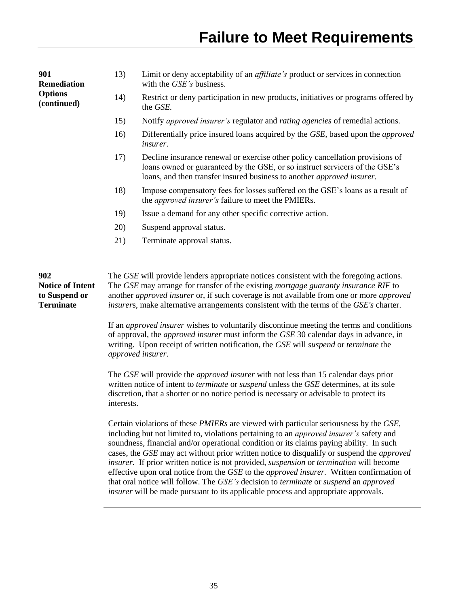| 901<br><b>Remediation</b>                                           | 13)                                                                                                                                                                                                                                                                                                          | Limit or deny acceptability of an <i>affiliate's</i> product or services in connection<br>with the GSE's business.                                                                                                                                                                                                                                                                                                                                                                                                                                                                                                                                                                                                                                                                |  |  |  |  |  |  |
|---------------------------------------------------------------------|--------------------------------------------------------------------------------------------------------------------------------------------------------------------------------------------------------------------------------------------------------------------------------------------------------------|-----------------------------------------------------------------------------------------------------------------------------------------------------------------------------------------------------------------------------------------------------------------------------------------------------------------------------------------------------------------------------------------------------------------------------------------------------------------------------------------------------------------------------------------------------------------------------------------------------------------------------------------------------------------------------------------------------------------------------------------------------------------------------------|--|--|--|--|--|--|
| <b>Options</b><br>(continued)                                       | 14)                                                                                                                                                                                                                                                                                                          | Restrict or deny participation in new products, initiatives or programs offered by<br>the GSE.                                                                                                                                                                                                                                                                                                                                                                                                                                                                                                                                                                                                                                                                                    |  |  |  |  |  |  |
|                                                                     | 15)                                                                                                                                                                                                                                                                                                          | Notify approved insurer's regulator and rating agencies of remedial actions.                                                                                                                                                                                                                                                                                                                                                                                                                                                                                                                                                                                                                                                                                                      |  |  |  |  |  |  |
|                                                                     | 16)                                                                                                                                                                                                                                                                                                          | Differentially price insured loans acquired by the GSE, based upon the <i>approved</i><br><i>insurer.</i>                                                                                                                                                                                                                                                                                                                                                                                                                                                                                                                                                                                                                                                                         |  |  |  |  |  |  |
|                                                                     | 17)<br>Decline insurance renewal or exercise other policy cancellation provisions of<br>loans owned or guaranteed by the GSE, or so instruct servicers of the GSE's<br>loans, and then transfer insured business to another <i>approved insurer</i> .                                                        |                                                                                                                                                                                                                                                                                                                                                                                                                                                                                                                                                                                                                                                                                                                                                                                   |  |  |  |  |  |  |
|                                                                     | 18)                                                                                                                                                                                                                                                                                                          | Impose compensatory fees for losses suffered on the GSE's loans as a result of<br>the <i>approved insurer's</i> failure to meet the PMIERs.                                                                                                                                                                                                                                                                                                                                                                                                                                                                                                                                                                                                                                       |  |  |  |  |  |  |
|                                                                     | 19)                                                                                                                                                                                                                                                                                                          | Issue a demand for any other specific corrective action.                                                                                                                                                                                                                                                                                                                                                                                                                                                                                                                                                                                                                                                                                                                          |  |  |  |  |  |  |
|                                                                     | 20)                                                                                                                                                                                                                                                                                                          | Suspend approval status.                                                                                                                                                                                                                                                                                                                                                                                                                                                                                                                                                                                                                                                                                                                                                          |  |  |  |  |  |  |
|                                                                     | 21)                                                                                                                                                                                                                                                                                                          | Terminate approval status.                                                                                                                                                                                                                                                                                                                                                                                                                                                                                                                                                                                                                                                                                                                                                        |  |  |  |  |  |  |
|                                                                     |                                                                                                                                                                                                                                                                                                              |                                                                                                                                                                                                                                                                                                                                                                                                                                                                                                                                                                                                                                                                                                                                                                                   |  |  |  |  |  |  |
| 902<br><b>Notice of Intent</b><br>to Suspend or<br><b>Terminate</b> |                                                                                                                                                                                                                                                                                                              | The GSE will provide lenders appropriate notices consistent with the foregoing actions.<br>The GSE may arrange for transfer of the existing <i>mortgage guaranty insurance RIF</i> to<br>another <i>approved insurer</i> or, if such coverage is not available from one or more <i>approved</i><br>insurers, make alternative arrangements consistent with the terms of the GSE's charter.<br>If an <i>approved insurer</i> wishes to voluntarily discontinue meeting the terms and conditions<br>of approval, the <i>approved insurer</i> must inform the GSE 30 calendar days in advance, in                                                                                                                                                                                    |  |  |  |  |  |  |
|                                                                     |                                                                                                                                                                                                                                                                                                              | writing. Upon receipt of written notification, the GSE will suspend or terminate the<br>approved insurer.                                                                                                                                                                                                                                                                                                                                                                                                                                                                                                                                                                                                                                                                         |  |  |  |  |  |  |
|                                                                     | The GSE will provide the <i>approved insurer</i> with not less than 15 calendar days prior<br>written notice of intent to <i>terminate</i> or <i>suspend</i> unless the GSE determines, at its sole<br>discretion, that a shorter or no notice period is necessary or advisable to protect its<br>interests. |                                                                                                                                                                                                                                                                                                                                                                                                                                                                                                                                                                                                                                                                                                                                                                                   |  |  |  |  |  |  |
|                                                                     |                                                                                                                                                                                                                                                                                                              | Certain violations of these <i>PMIERs</i> are viewed with particular seriousness by the GSE,<br>including but not limited to, violations pertaining to an <i>approved insurer's</i> safety and<br>soundness, financial and/or operational condition or its claims paying ability. In such<br>cases, the GSE may act without prior written notice to disqualify or suspend the <i>approved</i><br>insurer. If prior written notice is not provided, suspension or termination will become<br>effective upon oral notice from the GSE to the <i>approved insurer</i> . Written confirmation of<br>that oral notice will follow. The GSE's decision to terminate or suspend an approved<br><i>insurer</i> will be made pursuant to its applicable process and appropriate approvals. |  |  |  |  |  |  |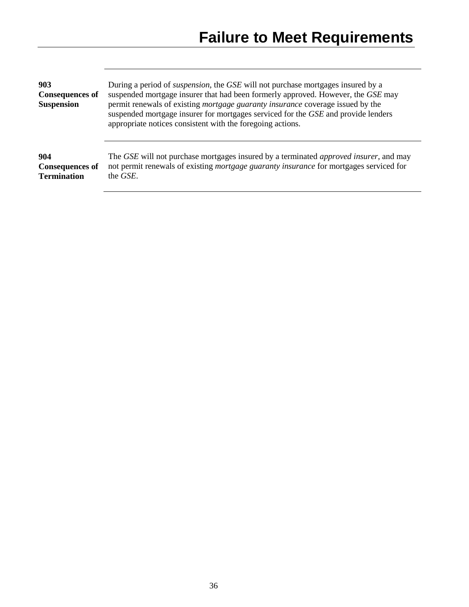| 903                                                 | During a period of <i>suspension</i> , the <i>GSE</i> will not purchase mortgages insured by a                                                                                                                                    |
|-----------------------------------------------------|-----------------------------------------------------------------------------------------------------------------------------------------------------------------------------------------------------------------------------------|
| <b>Consequences of</b>                              | suspended mortgage insurer that had been formerly approved. However, the GSE may                                                                                                                                                  |
| <b>Suspension</b>                                   | permit renewals of existing mortgage guaranty insurance coverage issued by the<br>suspended mortgage insurer for mortgages serviced for the GSE and provide lenders<br>appropriate notices consistent with the foregoing actions. |
| 904<br><b>Consequences of</b><br><b>Termination</b> | The GSE will not purchase mortgages insured by a terminated <i>approved insurer</i> , and may<br>not permit renewals of existing <i>mortgage guaranty insurance</i> for mortgages serviced for<br>the <i>GSE</i> .                |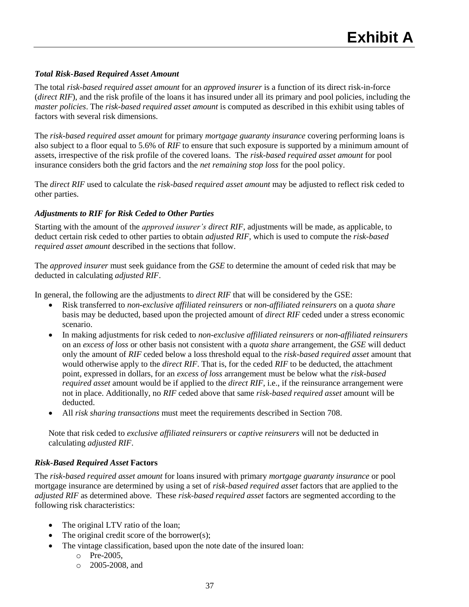# <span id="page-37-0"></span>*Total Risk-Based Required Asset Amount*

The total *risk-based required asset amount* for an *approved insurer* is a function of its direct risk-in-force (*direct RIF*), and the risk profile of the loans it has insured under all its primary and pool policies, including the *master policies*. The *risk-based required asset amount* is computed as described in this exhibit using tables of factors with several risk dimensions.

The *risk-based required asset amount* for primary *mortgage guaranty insurance* covering performing loans is also subject to a floor equal to 5.6% of *RIF* to ensure that such exposure is supported by a minimum amount of assets, irrespective of the risk profile of the covered loans. The *risk-based required asset amount* for pool insurance considers both the grid factors and the *net remaining stop loss* for the pool policy.

The *direct RIF* used to calculate the *risk-based required asset amount* may be adjusted to reflect risk ceded to other parties.

# *Adjustments to RIF for Risk Ceded to Other Parties*

Starting with the amount of the *approved insurer's direct RIF*, adjustments will be made, as applicable, to deduct certain risk ceded to other parties to obtain *adjusted RIF,* which is used to compute the *risk-based required asset amount* described in the sections that follow.

The *approved insurer* must seek guidance from the *GSE* to determine the amount of ceded risk that may be deducted in calculating *adjusted RIF*.

In general, the following are the adjustments to *direct RIF* that will be considered by the GSE:

- Risk transferred to *non-exclusive affiliated reinsurers* or *non-affiliated reinsurers* on a *quota share* basis may be deducted, based upon the projected amount of *direct RIF* ceded under a stress economic scenario.
- In making adjustments for risk ceded to *non-exclusive affiliated reinsurers* or *non-affiliated reinsurers* on an *excess of loss* or other basis not consistent with a *quota share* arrangement, the *GSE* will deduct only the amount of *RIF* ceded below a loss threshold equal to the *risk-based required asset* amount that would otherwise apply to the *direct RIF*. That is, for the ceded *RIF* to be deducted, the attachment point, expressed in dollars, for an *excess of loss* arrangement must be below what the *risk-based required asset* amount would be if applied to the *direct RIF*, i.e., if the reinsurance arrangement were not in place. Additionally, no *RIF* ceded above that same *risk-based required asset* amount will be deducted.
- All *risk sharing transactions* must meet the requirements described in Section 708.

Note that risk ceded to *exclusive affiliated reinsurers* or *captive reinsurers* will not be deducted in calculating *adjusted RIF*.

# *Risk-Based Required Asset* **Factors**

The *risk-based required asset amount* for loans insured with primary *mortgage guaranty insurance* or pool mortgage insurance are determined by using a set of *risk-based required asset* factors that are applied to the *adjusted RIF* as determined above. These *risk-based required asset* factors are segmented according to the following risk characteristics:

- The original LTV ratio of the loan;
- The original credit score of the borrower(s);
- The vintage classification, based upon the note date of the insured loan:
	- o Pre-2005,
	- o 2005-2008, and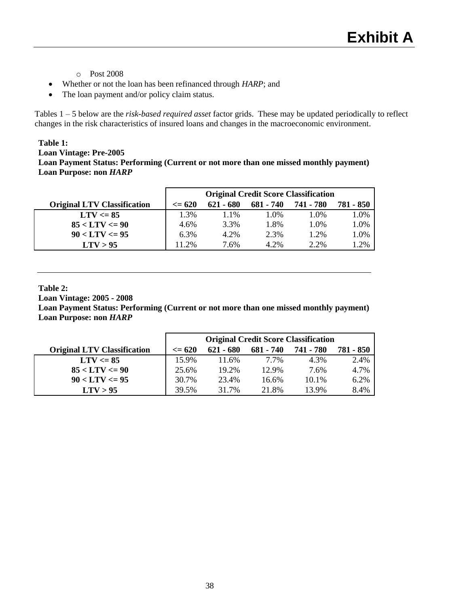- o Post 2008
- Whether or not the loan has been refinanced through *HARP*; and
- The loan payment and/or policy claim status.

Tables 1 – 5 below are the *risk-based required asset* factor grids. These may be updated periodically to reflect changes in the risk characteristics of insured loans and changes in the macroeconomic environment.

#### **Table 1:**

**Loan Vintage: Pre-2005 Loan Payment Status: Performing (Current or not more than one missed monthly payment) Loan Purpose: non** *HARP*

|                                    | <b>Original Credit Score Classification</b> |           |           |           |           |
|------------------------------------|---------------------------------------------|-----------|-----------|-----------|-----------|
| <b>Original LTV Classification</b> | $\epsilon = 620$                            | 621 - 680 | 681 - 740 | 741 - 780 | 781 - 850 |
| $LTV \le 85$                       | 1.3%                                        | 1.1%      | 1.0%      | 1.0%      | 1.0%      |
| $85 < LTV \le 90$                  | 4.6%                                        | 3.3%      | 1.8%      | 1.0%      | 1.0%      |
| $90 < LTV \leq 95$                 | $6.3\%$                                     | 4.2%      | 2.3%      | 1.2%      | 1.0%      |
| LTV > 95                           | 11.2%                                       | 7.6%      | 4.2%      | 2.2%      | .2%       |

#### **Table 2:**

**Loan Vintage: 2005 - 2008** 

**Loan Payment Status: Performing (Current or not more than one missed monthly payment) Loan Purpose: non** *HARP*

|                                    | <b>Original Credit Score Classification</b> |             |           |           |           |
|------------------------------------|---------------------------------------------|-------------|-----------|-----------|-----------|
| <b>Original LTV Classification</b> | $\leq$ 620                                  | $621 - 680$ | 681 - 740 | 741 - 780 | 781 - 850 |
| $LTV \le 85$                       | 15.9%                                       | 11.6%       | 7.7%      | 4.3%      | 2.4%      |
| $85 < LTV \le 90$                  | 25.6%                                       | 19.2%       | 12.9%     | 7.6%      | 4.7%      |
| $90 < LTV \leq 95$                 | 30.7%                                       | 23.4%       | 16.6%     | 10.1%     | 6.2%      |
| LTV > 95                           | 39.5%                                       | 31.7%       | 21.8%     | 13.9%     | 8.4%      |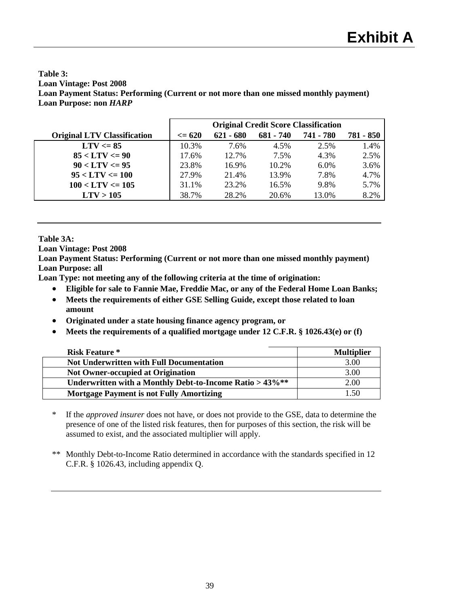## **Table 3: Loan Vintage: Post 2008 Loan Payment Status: Performing (Current or not more than one missed monthly payment) Loan Purpose: non** *HARP*

|                                    | <b>Original Credit Score Classification</b> |             |             |           |           |
|------------------------------------|---------------------------------------------|-------------|-------------|-----------|-----------|
| <b>Original LTV Classification</b> | $\epsilon = 620$                            | $621 - 680$ | $681 - 740$ | 741 - 780 | 781 - 850 |
| $LTV \le 85$                       | 10.3%                                       | 7.6%        | 4.5%        | 2.5%      | 1.4%      |
| $85 < LTV \le 90$                  | 17.6%                                       | 12.7%       | 7.5%        | 4.3%      | 2.5%      |
| $90 < LTV \leq 95$                 | 23.8%                                       | 16.9%       | 10.2%       | 6.0%      | 3.6%      |
| $95 < LTV \le 100$                 | 27.9%                                       | 21.4%       | 13.9%       | 7.8%      | 4.7%      |
| $100 < LTV \le 105$                | 31.1%                                       | 23.2%       | 16.5%       | 9.8%      | 5.7%      |
| LTV > 105                          | 38.7%                                       | 28.2%       | 20.6%       | 13.0%     | 8.2%      |

# **Table 3A:**

**Loan Vintage: Post 2008** 

**Loan Payment Status: Performing (Current or not more than one missed monthly payment) Loan Purpose: all**

**Loan Type: not meeting any of the following criteria at the time of origination:**

- **Eligible for sale to Fannie Mae, Freddie Mac, or any of the Federal Home Loan Banks;**
- **Meets the requirements of either GSE Selling Guide, except those related to loan amount**
- **Originated under a state housing finance agency program, or**
- **Meets the requirements of a qualified mortgage under 12 C.F.R. § 1026.43(e) or (f)**

| <b>Risk Feature *</b>                                      | <b>Multiplier</b> |
|------------------------------------------------------------|-------------------|
| <b>Not Underwritten with Full Documentation</b>            | 3.00              |
| <b>Not Owner-occupied at Origination</b>                   | 3.00              |
| Underwritten with a Monthly Debt-to-Income Ratio $>43\%**$ | 2.00              |
| <b>Mortgage Payment is not Fully Amortizing</b>            | 1.50              |

- \* If the *approved insurer* does not have, or does not provide to the GSE, data to determine the presence of one of the listed risk features, then for purposes of this section, the risk will be assumed to exist, and the associated multiplier will apply.
- \*\* Monthly Debt-to-Income Ratio determined in accordance with the standards specified in 12 C.F.R. § 1026.43, including appendix Q.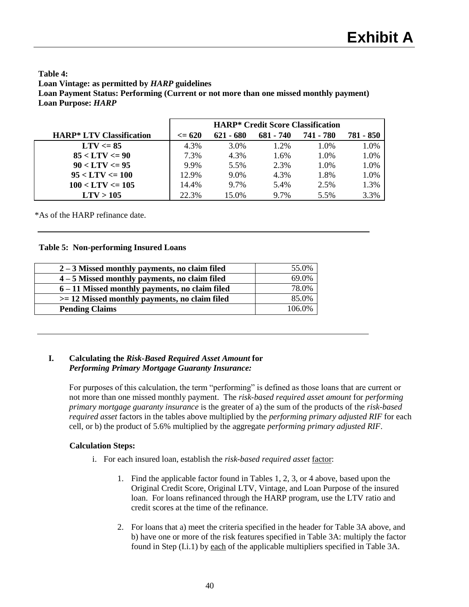# **Table 4: Loan Vintage: as permitted by** *HARP* **guidelines Loan Payment Status: Performing (Current or not more than one missed monthly payment) Loan Purpose:** *HARP*

|                                 | <b>HARP*</b> Credit Score Classification |             |             |           |           |
|---------------------------------|------------------------------------------|-------------|-------------|-----------|-----------|
| <b>HARP* LTV Classification</b> | $\leq$ 620                               | $621 - 680$ | $681 - 740$ | 741 - 780 | 781 - 850 |
| $LTV \leq 85$                   | 4.3%                                     | 3.0%        | 1.2%        | 1.0%      | 1.0%      |
| $85 < LTV \le 90$               | 7.3%                                     | 4.3%        | 1.6%        | 1.0%      | 1.0%      |
| $90 < LTV \leq 95$              | 9.9%                                     | 5.5%        | 2.3%        | 1.0%      | 1.0%      |
| $95 < LTV \le 100$              | 12.9%                                    | $9.0\%$     | 4.3%        | 1.8%      | 1.0%      |
| $100 < LTV \le 105$             | 14.4%                                    | 9.7%        | 5.4%        | 2.5%      | 1.3%      |
| LTV > 105                       | 22.3%                                    | 15.0%       | 9.7%        | 5.5%      | 3.3%      |

\*As of the HARP refinance date.

# **Table 5: Non-performing Insured Loans**

| 55.0%<br>69.0% |
|----------------|
|                |
|                |
| 78.0%          |
| 85.0%          |
| 106.0%         |
|                |

# **I. Calculating the** *Risk-Based Required Asset Amount* **for** *Performing Primary Mortgage Guaranty Insurance:*

For purposes of this calculation, the term "performing" is defined as those loans that are current or not more than one missed monthly payment. The *risk-based required asset amount* for *performing primary mortgage guaranty insurance* is the greater of a) the sum of the products of the *risk-based required asset* factors in the tables above multiplied by the *performing primary adjusted RIF* for each cell, or b) the product of 5.6% multiplied by the aggregate *performing primary adjusted RIF*.

# **Calculation Steps:**

- i. For each insured loan, establish the *risk-based required asset* factor:
	- 1. Find the applicable factor found in Tables 1, 2, 3, or 4 above, based upon the Original Credit Score, Original LTV, Vintage, and Loan Purpose of the insured loan. For loans refinanced through the HARP program, use the LTV ratio and credit scores at the time of the refinance.
	- 2. For loans that a) meet the criteria specified in the header for Table 3A above, and b) have one or more of the risk features specified in Table 3A: multiply the factor found in Step (I.i.1) by each of the applicable multipliers specified in Table 3A.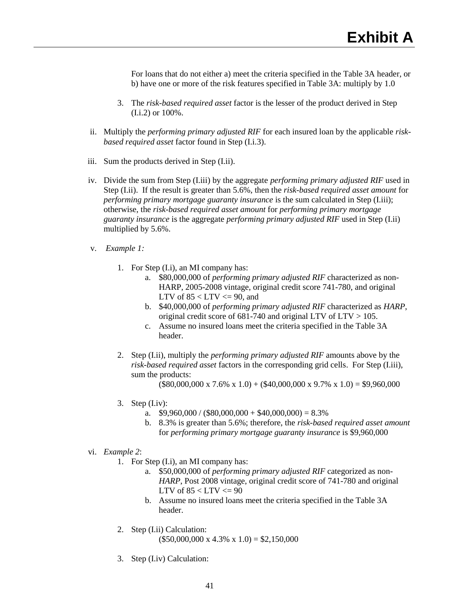For loans that do not either a) meet the criteria specified in the Table 3A header, or b) have one or more of the risk features specified in Table 3A: multiply by 1.0

- 3. The *risk-based required asset* factor is the lesser of the product derived in Step (I.i.2) or 100%.
- ii. Multiply the *performing primary adjusted RIF* for each insured loan by the applicable *riskbased required asset* factor found in Step (I.i.3).
- iii. Sum the products derived in Step (I.ii).
- iv. Divide the sum from Step (I.iii) by the aggregate *performing primary adjusted RIF* used in Step (I.ii). If the result is greater than 5.6%, then the *risk-based required asset amount* for *performing primary mortgage guaranty insurance* is the sum calculated in Step (I.iii); otherwise, the *risk-based required asset amount* for *performing primary mortgage guaranty insurance* is the aggregate *performing primary adjusted RIF* used in Step (I.ii) multiplied by 5.6%.
- v. *Example 1:*
	- 1. For Step (I.i), an MI company has:
		- a. \$80,000,000 of *performing primary adjusted RIF* characterized as non-HARP, 2005-2008 vintage, original credit score 741-780, and original LTV of  $85 <$  LTV  $\leq$  90, and
		- b. \$40,000,000 of *performing primary adjusted RIF* characterized as *HARP*, original credit score of 681-740 and original LTV of LTV > 105.
		- c. Assume no insured loans meet the criteria specified in the Table 3A header.
	- 2. Step (I.ii), multiply the *performing primary adjusted RIF* amounts above by the *risk-based required asset* factors in the corresponding grid cells. For Step (I.iii), sum the products:

 $($80,000,000 \times 7.6\% \times 1.0) + ($40,000,000 \times 9.7\% \times 1.0) = $9,960,000$ 

- 3. Step  $(I$ .iv):
	- a.  $$9,960,000 / ($80,000,000 + $40,000,000) = 8.3\%$
	- b. 8.3% is greater than 5.6%; therefore, the *risk-based required asset amount* for *performing primary mortgage guaranty insurance* is \$9,960,000
- vi. *Example 2*:
	- 1. For Step (I.i), an MI company has:
		- a. \$50,000,000 of *performing primary adjusted RIF* categorized as non-*HARP*, Post 2008 vintage, original credit score of 741-780 and original LTV of  $85 <$  LTV  $\leq$  90
		- b. Assume no insured loans meet the criteria specified in the Table 3A header.
	- 2. Step (I.ii) Calculation:  $($50,000,000 \text{ x } 4.3\% \text{ x } 1.0) = $2,150,000$
	- 3. Step (I.iv) Calculation: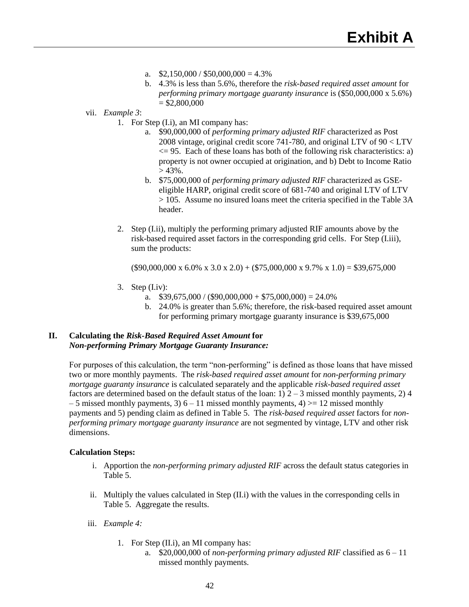- a.  $$2,150,000 / $50,000,000 = 4.3\%$
- b. 4.3% is less than 5.6%, therefore the *risk-based required asset amount* for *performing primary mortgage guaranty insurance* is (\$50,000,000 x 5.6%)  $=$  \$2,800,000
- vii. *Example 3*:
	- 1. For Step (I.i), an MI company has:
		- a. \$90,000,000 of *performing primary adjusted RIF* characterized as Post 2008 vintage, original credit score 741-780, and original LTV of 90 < LTV  $\leq$  95. Each of these loans has both of the following risk characteristics: a) property is not owner occupied at origination, and b) Debt to Income Ratio  $> 43\%$ .
		- b. \$75,000,000 of *performing primary adjusted RIF* characterized as GSEeligible HARP, original credit score of 681-740 and original LTV of LTV > 105. Assume no insured loans meet the criteria specified in the Table 3A header.
	- 2. Step (I.ii), multiply the performing primary adjusted RIF amounts above by the risk-based required asset factors in the corresponding grid cells. For Step (I.iii), sum the products:

 $($90,000,000 \times 6.0\% \times 3.0 \times 2.0) + ($75,000,000 \times 9.7\% \times 1.0) = $39,675,000$ 

- 3. Step  $(I$ .iv):
	- a.  $$39,675,000 / ($90,000,000 + $75,000,000) = 24.0\%$
	- b. 24.0% is greater than 5.6%; therefore, the risk-based required asset amount for performing primary mortgage guaranty insurance is \$39,675,000

# **II. Calculating the** *Risk-Based Required Asset Amount* **for**  *Non-performing Primary Mortgage Guaranty Insurance:*

For purposes of this calculation, the term "non-performing" is defined as those loans that have missed two or more monthly payments. The *risk-based required asset amount* for *non-performing primary mortgage guaranty insurance* is calculated separately and the applicable *risk-based required asset* factors are determined based on the default status of the loan:  $1)$  2 – 3 missed monthly payments, 2) 4  $-5$  missed monthly payments, 3)  $6 - 11$  missed monthly payments, 4)  $> = 12$  missed monthly payments and 5) pending claim as defined in Table 5. The *risk-based required asset* factors for *nonperforming primary mortgage guaranty insurance* are not segmented by vintage, LTV and other risk dimensions.

# **Calculation Steps:**

- i. Apportion the *non-performing primary adjusted RIF* across the default status categories in Table 5.
- ii. Multiply the values calculated in Step (II.i) with the values in the corresponding cells in Table 5. Aggregate the results.
- iii. *Example 4:*
	- 1. For Step (II.i), an MI company has:
		- a. \$20,000,000 of *non-performing primary adjusted RIF* classified as 6 11 missed monthly payments.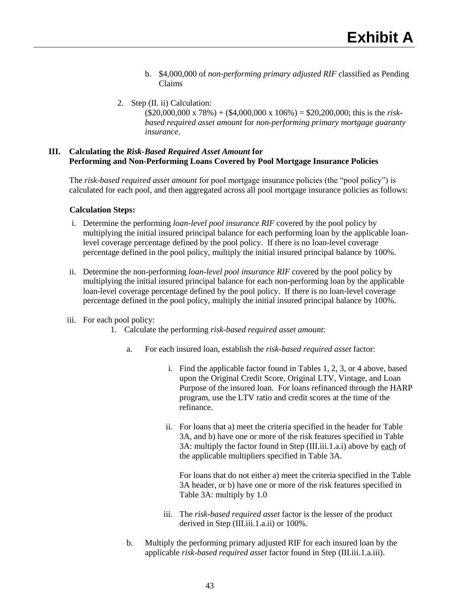- b. \$4,000,000 of *non-performing primary adjusted RIF* classified as Pending Claims
- 2. Step (II. ii) Calculation: (\$20,000,000 x 78%) + (\$4,000,000 x 106%) = \$20,200,000; this is the *riskbased required asset amount* for *non-performing primary mortgage guaranty insurance*.

# **III. Calculating the** *Risk-Based Required Asset Amount* **for Performing and Non-Performing Loans Covered by Pool Mortgage Insurance Policies**

The *risk-based required asset amount* for pool mortgage insurance policies (the "pool policy") is calculated for each pool, and then aggregated across all pool mortgage insurance policies as follows:

## **Calculation Steps:**

- i. Determine the performing *loan-level pool insurance RIF* covered by the pool policy by multiplying the initial insured principal balance for each performing loan by the applicable loanlevel coverage percentage defined by the pool policy. If there is no loan-level coverage percentage defined in the pool policy, multiply the initial insured principal balance by 100%.
- ii. Determine the non-performing *loan-level pool insurance RIF* covered by the pool policy by multiplying the initial insured principal balance for each non-performing loan by the applicable loan-level coverage percentage defined by the pool policy. If there is no loan-level coverage percentage defined in the pool policy, multiply the initial insured principal balance by 100%.

# iii. For each pool policy:

- 1. Calculate the performing *risk-based required asset amount*:
	- a. For each insured loan, establish the *risk-based required asset* factor:
		- i. Find the applicable factor found in Tables 1, 2, 3, or 4 above, based upon the Original Credit Score, Original LTV, Vintage, and Loan Purpose of the insured loan. For loans refinanced through the HARP program, use the LTV ratio and credit scores at the time of the refinance.
		- ii. For loans that a) meet the criteria specified in the header for Table 3A, and b) have one or more of the risk features specified in Table 3A: multiply the factor found in Step (III.iii.1.a.i) above by each of the applicable multipliers specified in Table 3A.

For loans that do not either a) meet the criteria specified in the Table 3A header, or b) have one or more of the risk features specified in Table 3A: multiply by 1.0

- iii. The *risk-based required asset* factor is the lesser of the product derived in Step (III.iii.1.a.ii) or 100%.
- b. Multiply the performing primary adjusted RIF for each insured loan by the applicable *risk-based required asset* factor found in Step (III.iii.1.a.iii).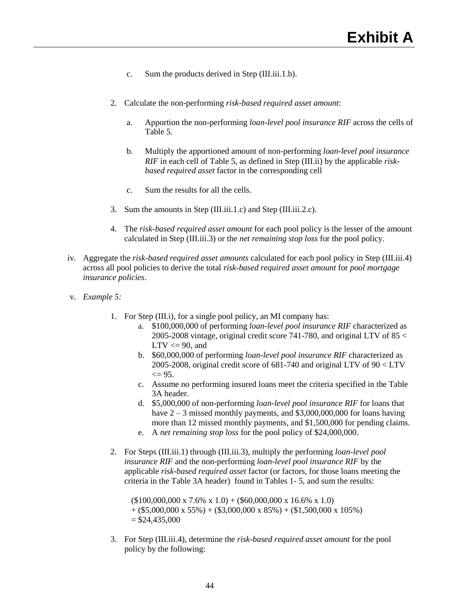- c. Sum the products derived in Step (III.iii.1.b).
- 2. Calculate the non-performing *risk-based required asset amount*:
	- a. Apportion the non-performing *loan-level pool insurance RIF* across the cells of Table 5.
	- b. Multiply the apportioned amount of non-performing *loan-level pool insurance RIF* in each cell of Table 5, as defined in Step (III.ii) by the applicable *riskbased required asset* factor in the corresponding cell
	- c. Sum the results for all the cells.
- 3. Sum the amounts in Step (III.iii.1.c) and Step (III.iii.2.c).
- 4. The *risk-based required asset amount* for each pool policy is the lesser of the amount calculated in Step (III.iii.3) or the *net remaining stop loss* for the pool policy.
- iv. Aggregate the *risk-based required asset amounts* calculated for each pool policy in Step (III.iii.4) across all pool policies to derive the total *risk-based required asset amount* for *pool mortgage insurance policies*.
- v. *Example 5:*
	- 1. For Step (III.i), for a single pool policy, an MI company has:
		- a. \$100,000,000 of performing *loan-level pool insurance RIF* characterized as 2005-2008 vintage, original credit score 741-780, and original LTV of 85 <  $LTV \leq 90$ , and
		- b. \$60,000,000 of performing *loan-level pool insurance RIF* characterized as 2005-2008, original credit score of 681-740 and original LTV of 90 < LTV  $\leq$  95.
		- c. Assume no performing insured loans meet the criteria specified in the Table 3A header.
		- d. \$5,000,000 of non-performing *loan-level pool insurance RIF* for loans that have  $2 - 3$  missed monthly payments, and \$3,000,000,000 for loans having more than 12 missed monthly payments, and \$1,500,000 for pending claims.
		- e. A *net remaining stop loss* for the pool policy of \$24,000,000.
	- 2. For Steps (III.iii.1) through (III.iii.3), multiply the performing *loan-level pool insurance RIF* and the non-performing *loan-level pool insurance RIF* by the applicable *risk-based required asset* factor (or factors, for those loans meeting the criteria in the Table 3A header) found in Tables 1- 5, and sum the results:

 $($100,000,000 \times 7.6\% \times 1.0) + ($60,000,000 \times 16.6\% \times 1.0)$  $+$  (\$5,000,000 x 55%) + (\$3,000,000 x 85%) + (\$1,500,000 x 105%)  $= $24,435,000$ 

3. For Step (III.iii.4), determine the *risk-based required asset amount* for the pool policy by the following: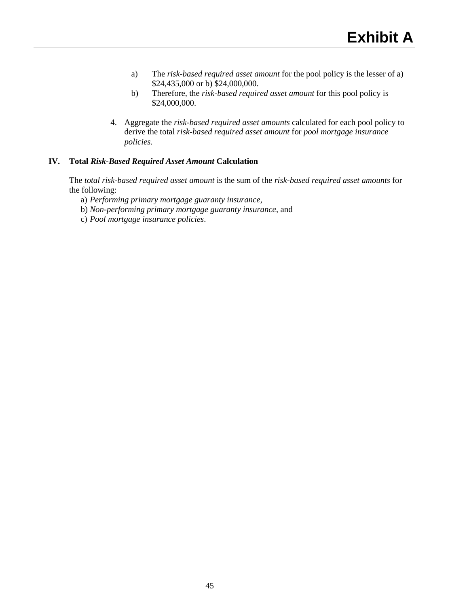- a) The *risk-based required asset amount* for the pool policy is the lesser of a) \$24,435,000 or b) \$24,000,000.
- b) Therefore, the *risk-based required asset amount* for this pool policy is \$24,000,000.
- 4. Aggregate the *risk-based required asset amounts* calculated for each pool policy to derive the total *risk-based required asset amount* for *pool mortgage insurance policies.*

# **IV. Total** *Risk-Based Required Asset Amount* **Calculation**

The *total risk-based required asset amount* is the sum of the *risk-based required asset amounts* for the following:

- a) *Performing primary mortgage guaranty insurance*,
- b) *Non-performing primary mortgage guaranty insurance*, and
- c) *Pool mortgage insurance policies*.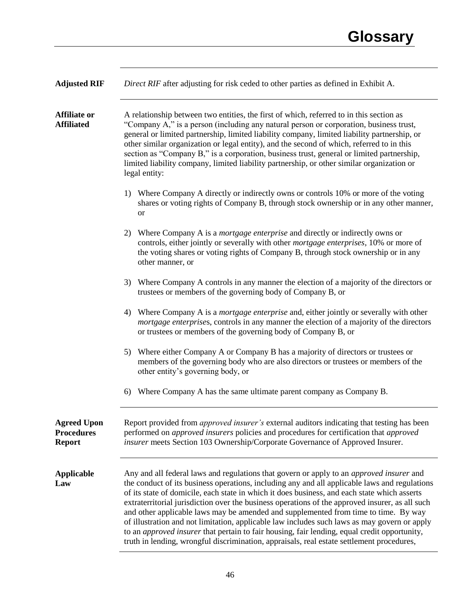| <b>Adjusted RIF</b>                                      | Direct RIF after adjusting for risk ceded to other parties as defined in Exhibit A.                                                                                                                                                                                                                                                                                                                                                                                                                                                                                                                                                                                                                                                                                                            |
|----------------------------------------------------------|------------------------------------------------------------------------------------------------------------------------------------------------------------------------------------------------------------------------------------------------------------------------------------------------------------------------------------------------------------------------------------------------------------------------------------------------------------------------------------------------------------------------------------------------------------------------------------------------------------------------------------------------------------------------------------------------------------------------------------------------------------------------------------------------|
| <b>Affiliate or</b><br><b>Affiliated</b>                 | A relationship between two entities, the first of which, referred to in this section as<br>"Company A," is a person (including any natural person or corporation, business trust,<br>general or limited partnership, limited liability company, limited liability partnership, or<br>other similar organization or legal entity), and the second of which, referred to in this<br>section as "Company B," is a corporation, business trust, general or limited partnership,<br>limited liability company, limited liability partnership, or other similar organization or<br>legal entity:                                                                                                                                                                                                     |
|                                                          | Where Company A directly or indirectly owns or controls 10% or more of the voting<br>1)<br>shares or voting rights of Company B, through stock ownership or in any other manner,<br><b>or</b>                                                                                                                                                                                                                                                                                                                                                                                                                                                                                                                                                                                                  |
|                                                          | Where Company A is a <i>mortgage enterprise</i> and directly or indirectly owns or<br>2)<br>controls, either jointly or severally with other <i>mortgage enterprises</i> , 10% or more of<br>the voting shares or voting rights of Company B, through stock ownership or in any<br>other manner, or                                                                                                                                                                                                                                                                                                                                                                                                                                                                                            |
|                                                          | Where Company A controls in any manner the election of a majority of the directors or<br>3)<br>trustees or members of the governing body of Company B, or                                                                                                                                                                                                                                                                                                                                                                                                                                                                                                                                                                                                                                      |
|                                                          | Where Company A is a <i>mortgage enterprise</i> and, either jointly or severally with other<br>4)<br>mortgage enterprises, controls in any manner the election of a majority of the directors<br>or trustees or members of the governing body of Company B, or                                                                                                                                                                                                                                                                                                                                                                                                                                                                                                                                 |
|                                                          | Where either Company A or Company B has a majority of directors or trustees or<br>5)<br>members of the governing body who are also directors or trustees or members of the<br>other entity's governing body, or                                                                                                                                                                                                                                                                                                                                                                                                                                                                                                                                                                                |
|                                                          | Where Company A has the same ultimate parent company as Company B.<br>6)                                                                                                                                                                                                                                                                                                                                                                                                                                                                                                                                                                                                                                                                                                                       |
| <b>Agreed Upon</b><br><b>Procedures</b><br><b>Report</b> | Report provided from <i>approved insurer's</i> external auditors indicating that testing has been<br>performed on <i>approved insurers</i> policies and procedures for certification that <i>approved</i><br>insurer meets Section 103 Ownership/Corporate Governance of Approved Insurer.                                                                                                                                                                                                                                                                                                                                                                                                                                                                                                     |
| <b>Applicable</b><br>Law                                 | Any and all federal laws and regulations that govern or apply to an <i>approved insurer</i> and<br>the conduct of its business operations, including any and all applicable laws and regulations<br>of its state of domicile, each state in which it does business, and each state which asserts<br>extraterritorial jurisdiction over the business operations of the approved insurer, as all such<br>and other applicable laws may be amended and supplemented from time to time. By way<br>of illustration and not limitation, applicable law includes such laws as may govern or apply<br>to an <i>approved insurer</i> that pertain to fair housing, fair lending, equal credit opportunity,<br>truth in lending, wrongful discrimination, appraisals, real estate settlement procedures, |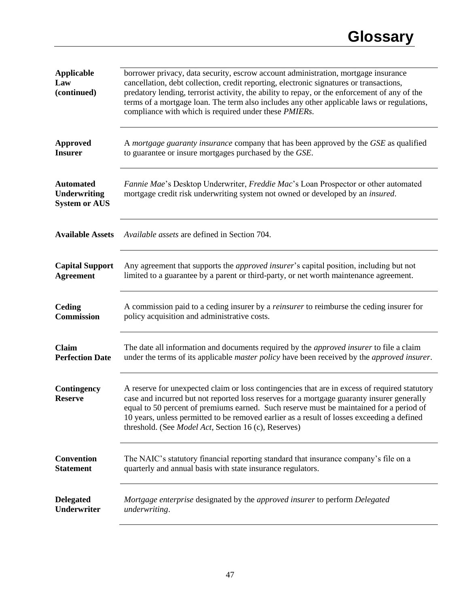| <b>Applicable</b><br>Law<br>(continued)                         | borrower privacy, data security, escrow account administration, mortgage insurance<br>cancellation, debt collection, credit reporting, electronic signatures or transactions,<br>predatory lending, terrorist activity, the ability to repay, or the enforcement of any of the<br>terms of a mortgage loan. The term also includes any other applicable laws or regulations,<br>compliance with which is required under these <i>PMIERs</i> .        |
|-----------------------------------------------------------------|------------------------------------------------------------------------------------------------------------------------------------------------------------------------------------------------------------------------------------------------------------------------------------------------------------------------------------------------------------------------------------------------------------------------------------------------------|
| <b>Approved</b>                                                 | A mortgage guaranty insurance company that has been approved by the GSE as qualified                                                                                                                                                                                                                                                                                                                                                                 |
| <b>Insurer</b>                                                  | to guarantee or insure mortgages purchased by the GSE.                                                                                                                                                                                                                                                                                                                                                                                               |
| <b>Automated</b><br><b>Underwriting</b><br><b>System or AUS</b> | Fannie Mae's Desktop Underwriter, Freddie Mac's Loan Prospector or other automated<br>mortgage credit risk underwriting system not owned or developed by an insured.                                                                                                                                                                                                                                                                                 |
| <b>Available Assets</b>                                         | <i>Available assets</i> are defined in Section 704.                                                                                                                                                                                                                                                                                                                                                                                                  |
| <b>Capital Support</b>                                          | Any agreement that supports the <i>approved insurer's</i> capital position, including but not                                                                                                                                                                                                                                                                                                                                                        |
| <b>Agreement</b>                                                | limited to a guarantee by a parent or third-party, or net worth maintenance agreement.                                                                                                                                                                                                                                                                                                                                                               |
| Ceding                                                          | A commission paid to a ceding insurer by a <i>reinsurer</i> to reimburse the ceding insurer for                                                                                                                                                                                                                                                                                                                                                      |
| <b>Commission</b>                                               | policy acquisition and administrative costs.                                                                                                                                                                                                                                                                                                                                                                                                         |
| Claim                                                           | The date all information and documents required by the <i>approved insurer</i> to file a claim                                                                                                                                                                                                                                                                                                                                                       |
| <b>Perfection Date</b>                                          | under the terms of its applicable <i>master policy</i> have been received by the <i>approved insurer</i> .                                                                                                                                                                                                                                                                                                                                           |
| Contingency<br><b>Reserve</b>                                   | A reserve for unexpected claim or loss contingencies that are in excess of required statutory<br>case and incurred but not reported loss reserves for a mortgage guaranty insurer generally<br>equal to 50 percent of premiums earned. Such reserve must be maintained for a period of<br>10 years, unless permitted to be removed earlier as a result of losses exceeding a defined<br>threshold. (See <i>Model Act</i> , Section 16 (c), Reserves) |
| <b>Convention</b>                                               | The NAIC's statutory financial reporting standard that insurance company's file on a                                                                                                                                                                                                                                                                                                                                                                 |
| <b>Statement</b>                                                | quarterly and annual basis with state insurance regulators.                                                                                                                                                                                                                                                                                                                                                                                          |
| <b>Delegated</b>                                                | Mortgage enterprise designated by the approved insurer to perform Delegated                                                                                                                                                                                                                                                                                                                                                                          |
| <b>Underwriter</b>                                              | underwriting.                                                                                                                                                                                                                                                                                                                                                                                                                                        |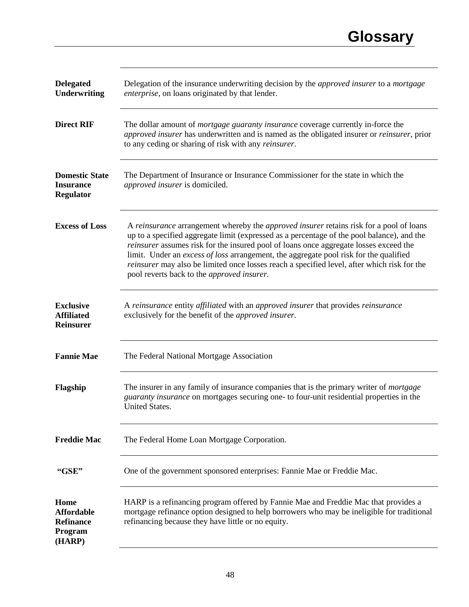| <b>Delegated</b><br><b>Underwriting</b>                            | Delegation of the insurance underwriting decision by the <i>approved insurer</i> to a <i>mortgage</i><br>enterprise, on loans originated by that lender.                                                                                                                                                                                                                                                                                                                                                                           |
|--------------------------------------------------------------------|------------------------------------------------------------------------------------------------------------------------------------------------------------------------------------------------------------------------------------------------------------------------------------------------------------------------------------------------------------------------------------------------------------------------------------------------------------------------------------------------------------------------------------|
| <b>Direct RIF</b>                                                  | The dollar amount of <i>mortgage guaranty insurance</i> coverage currently in-force the<br>approved insurer has underwritten and is named as the obligated insurer or reinsurer, prior<br>to any ceding or sharing of risk with any reinsurer.                                                                                                                                                                                                                                                                                     |
| <b>Domestic State</b><br><b>Insurance</b><br><b>Regulator</b>      | The Department of Insurance or Insurance Commissioner for the state in which the<br>approved insurer is domiciled.                                                                                                                                                                                                                                                                                                                                                                                                                 |
| <b>Excess of Loss</b>                                              | A reinsurance arrangement whereby the <i>approved</i> insurer retains risk for a pool of loans<br>up to a specified aggregate limit (expressed as a percentage of the pool balance), and the<br>reinsurer assumes risk for the insured pool of loans once aggregate losses exceed the<br>limit. Under an excess of loss arrangement, the aggregate pool risk for the qualified<br>reinsurer may also be limited once losses reach a specified level, after which risk for the<br>pool reverts back to the <i>approved</i> insurer. |
| <b>Exclusive</b><br><b>Affiliated</b><br><b>Reinsurer</b>          | A reinsurance entity affiliated with an approved insurer that provides reinsurance<br>exclusively for the benefit of the <i>approved insurer</i> .                                                                                                                                                                                                                                                                                                                                                                                 |
| <b>Fannie Mae</b>                                                  | The Federal National Mortgage Association                                                                                                                                                                                                                                                                                                                                                                                                                                                                                          |
| Flagship                                                           | The insurer in any family of insurance companies that is the primary writer of <i>mortgage</i><br>guaranty insurance on mortgages securing one- to four-unit residential properties in the<br>United States.                                                                                                                                                                                                                                                                                                                       |
| <b>Freddie Mac</b>                                                 | The Federal Home Loan Mortgage Corporation.                                                                                                                                                                                                                                                                                                                                                                                                                                                                                        |
| "GSE"                                                              | One of the government sponsored enterprises: Fannie Mae or Freddie Mac.                                                                                                                                                                                                                                                                                                                                                                                                                                                            |
| Home<br><b>Affordable</b><br><b>Refinance</b><br>Program<br>(HARP) | HARP is a refinancing program offered by Fannie Mae and Freddie Mac that provides a<br>mortgage refinance option designed to help borrowers who may be ineligible for traditional<br>refinancing because they have little or no equity.                                                                                                                                                                                                                                                                                            |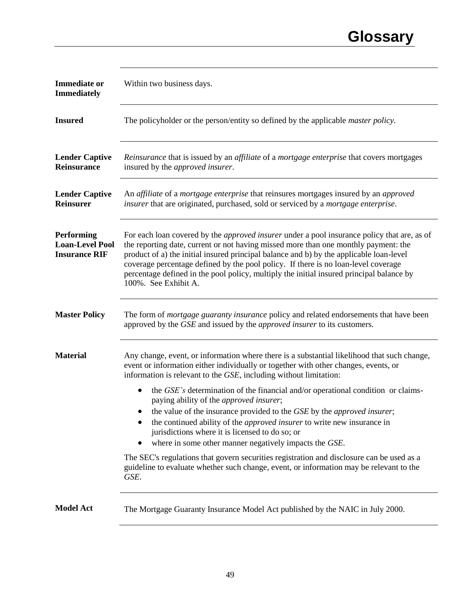| <b>Immediate or</b><br><b>Immediately</b>                    | Within two business days.                                                                                                                                                                                                                                                                                                                                                                                                                                                                                                                                                                                                                                                                                                                                                                                                                                                       |
|--------------------------------------------------------------|---------------------------------------------------------------------------------------------------------------------------------------------------------------------------------------------------------------------------------------------------------------------------------------------------------------------------------------------------------------------------------------------------------------------------------------------------------------------------------------------------------------------------------------------------------------------------------------------------------------------------------------------------------------------------------------------------------------------------------------------------------------------------------------------------------------------------------------------------------------------------------|
| <b>Insured</b>                                               | The policyholder or the person/entity so defined by the applicable <i>master policy</i> .                                                                                                                                                                                                                                                                                                                                                                                                                                                                                                                                                                                                                                                                                                                                                                                       |
| <b>Lender Captive</b><br><b>Reinsurance</b>                  | <i>Reinsurance</i> that is issued by an <i>affiliate</i> of a <i>mortgage enterprise</i> that covers mortgages<br>insured by the <i>approved</i> insurer.                                                                                                                                                                                                                                                                                                                                                                                                                                                                                                                                                                                                                                                                                                                       |
| <b>Lender Captive</b><br><b>Reinsurer</b>                    | An affiliate of a mortgage enterprise that reinsures mortgages insured by an approved<br>insurer that are originated, purchased, sold or serviced by a mortgage enterprise.                                                                                                                                                                                                                                                                                                                                                                                                                                                                                                                                                                                                                                                                                                     |
| Performing<br><b>Loan-Level Pool</b><br><b>Insurance RIF</b> | For each loan covered by the <i>approved insurer</i> under a pool insurance policy that are, as of<br>the reporting date, current or not having missed more than one monthly payment: the<br>product of a) the initial insured principal balance and b) by the applicable loan-level<br>coverage percentage defined by the pool policy. If there is no loan-level coverage<br>percentage defined in the pool policy, multiply the initial insured principal balance by<br>100%. See Exhibit A.                                                                                                                                                                                                                                                                                                                                                                                  |
| <b>Master Policy</b>                                         | The form of <i>mortgage guaranty insurance</i> policy and related endorsements that have been<br>approved by the GSE and issued by the <i>approved insurer</i> to its customers.                                                                                                                                                                                                                                                                                                                                                                                                                                                                                                                                                                                                                                                                                                |
| <b>Material</b>                                              | Any change, event, or information where there is a substantial likelihood that such change,<br>event or information either individually or together with other changes, events, or<br>information is relevant to the GSE, including without limitation:<br>the <i>GSE's</i> determination of the financial and/or operational condition or claims-<br>paying ability of the <i>approved insurer</i> ;<br>the value of the insurance provided to the GSE by the approved insurer;<br>the continued ability of the <i>approved insurer</i> to write new insurance in<br>jurisdictions where it is licensed to do so; or<br>where in some other manner negatively impacts the GSE.<br>The SEC's regulations that govern securities registration and disclosure can be used as a<br>guideline to evaluate whether such change, event, or information may be relevant to the<br>GSE. |
| <b>Model Act</b>                                             | The Mortgage Guaranty Insurance Model Act published by the NAIC in July 2000.                                                                                                                                                                                                                                                                                                                                                                                                                                                                                                                                                                                                                                                                                                                                                                                                   |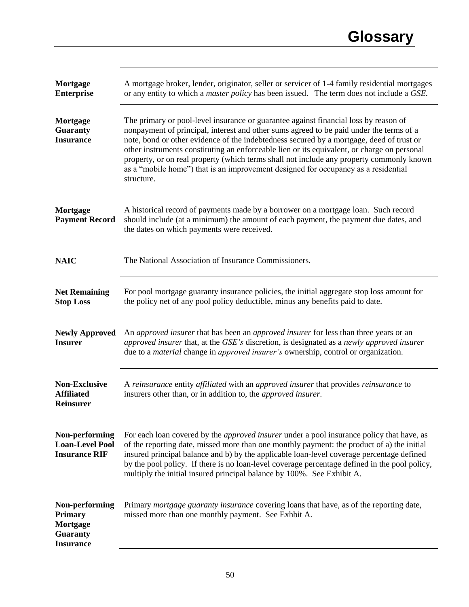| Mortgage<br><b>Enterprise</b>                                                       | A mortgage broker, lender, originator, seller or servicer of 1-4 family residential mortgages<br>or any entity to which a <i>master policy</i> has been issued. The term does not include a GSE.                                                                                                                                                                                                                                                                                                                                                                           |
|-------------------------------------------------------------------------------------|----------------------------------------------------------------------------------------------------------------------------------------------------------------------------------------------------------------------------------------------------------------------------------------------------------------------------------------------------------------------------------------------------------------------------------------------------------------------------------------------------------------------------------------------------------------------------|
| Mortgage<br><b>Guaranty</b><br><b>Insurance</b>                                     | The primary or pool-level insurance or guarantee against financial loss by reason of<br>nonpayment of principal, interest and other sums agreed to be paid under the terms of a<br>note, bond or other evidence of the indebtedness secured by a mortgage, deed of trust or<br>other instruments constituting an enforceable lien or its equivalent, or charge on personal<br>property, or on real property (which terms shall not include any property commonly known<br>as a "mobile home") that is an improvement designed for occupancy as a residential<br>structure. |
| Mortgage<br><b>Payment Record</b>                                                   | A historical record of payments made by a borrower on a mortgage loan. Such record<br>should include (at a minimum) the amount of each payment, the payment due dates, and<br>the dates on which payments were received.                                                                                                                                                                                                                                                                                                                                                   |
| <b>NAIC</b>                                                                         | The National Association of Insurance Commissioners.                                                                                                                                                                                                                                                                                                                                                                                                                                                                                                                       |
| <b>Net Remaining</b><br><b>Stop Loss</b>                                            | For pool mortgage guaranty insurance policies, the initial aggregate stop loss amount for<br>the policy net of any pool policy deductible, minus any benefits paid to date.                                                                                                                                                                                                                                                                                                                                                                                                |
| <b>Newly Approved</b><br><b>Insurer</b>                                             | An approved insurer that has been an approved insurer for less than three years or an<br>approved insurer that, at the GSE's discretion, is designated as a newly approved insurer<br>due to a <i>material</i> change in <i>approved insurer's</i> ownership, control or organization.                                                                                                                                                                                                                                                                                     |
| <b>Non-Exclusive</b><br><b>Affiliated</b><br><b>Reinsurer</b>                       | A reinsurance entity affiliated with an approved insurer that provides reinsurance to<br>insurers other than, or in addition to, the <i>approved insurer</i> .                                                                                                                                                                                                                                                                                                                                                                                                             |
| Non-performing<br><b>Loan-Level Pool</b><br><b>Insurance RIF</b>                    | For each loan covered by the <i>approved insurer</i> under a pool insurance policy that have, as<br>of the reporting date, missed more than one monthly payment: the product of a) the initial<br>insured principal balance and b) by the applicable loan-level coverage percentage defined<br>by the pool policy. If there is no loan-level coverage percentage defined in the pool policy,<br>multiply the initial insured principal balance by 100%. See Exhibit A.                                                                                                     |
| Non-performing<br><b>Primary</b><br>Mortgage<br><b>Guaranty</b><br><b>Insurance</b> | Primary mortgage guaranty insurance covering loans that have, as of the reporting date,<br>missed more than one monthly payment. See Exhbit A.                                                                                                                                                                                                                                                                                                                                                                                                                             |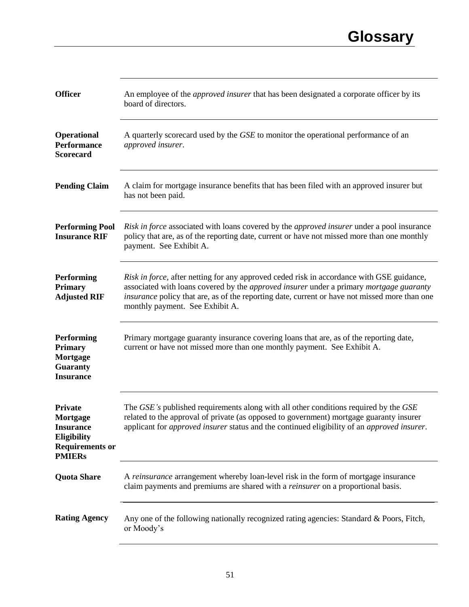| <b>Officer</b>                                                                                           | An employee of the <i>approved insurer</i> that has been designated a corporate officer by its<br>board of directors.                                                                                                                                                                                                           |
|----------------------------------------------------------------------------------------------------------|---------------------------------------------------------------------------------------------------------------------------------------------------------------------------------------------------------------------------------------------------------------------------------------------------------------------------------|
| <b>Operational</b><br><b>Performance</b><br><b>Scorecard</b>                                             | A quarterly scorecard used by the GSE to monitor the operational performance of an<br>approved insurer.                                                                                                                                                                                                                         |
| <b>Pending Claim</b>                                                                                     | A claim for mortgage insurance benefits that has been filed with an approved insurer but<br>has not been paid.                                                                                                                                                                                                                  |
| <b>Performing Pool</b><br><b>Insurance RIF</b>                                                           | Risk in force associated with loans covered by the <i>approved</i> insurer under a pool insurance<br>policy that are, as of the reporting date, current or have not missed more than one monthly<br>payment. See Exhibit A.                                                                                                     |
| <b>Performing</b><br><b>Primary</b><br><b>Adjusted RIF</b>                                               | Risk in force, after netting for any approved ceded risk in accordance with GSE guidance,<br>associated with loans covered by the approved insurer under a primary mortgage guaranty<br><i>insurance</i> policy that are, as of the reporting date, current or have not missed more than one<br>monthly payment. See Exhibit A. |
| Performing<br><b>Primary</b><br>Mortgage<br><b>Guaranty</b><br><b>Insurance</b>                          | Primary mortgage guaranty insurance covering loans that are, as of the reporting date,<br>current or have not missed more than one monthly payment. See Exhibit A.                                                                                                                                                              |
| <b>Private</b><br>Mortgage<br><b>Insurance</b><br>Eligibility<br><b>Requirements or</b><br><b>PMIERs</b> | The GSE's published requirements along with all other conditions required by the GSE<br>related to the approval of private (as opposed to government) mortgage guaranty insurer<br>applicant for <i>approved insurer</i> status and the continued eligibility of an <i>approved insurer</i> .                                   |
| <b>Quota Share</b>                                                                                       | A reinsurance arrangement whereby loan-level risk in the form of mortgage insurance<br>claim payments and premiums are shared with a <i>reinsurer</i> on a proportional basis.                                                                                                                                                  |
| <b>Rating Agency</b>                                                                                     | Any one of the following nationally recognized rating agencies: Standard & Poors, Fitch,<br>or Moody's                                                                                                                                                                                                                          |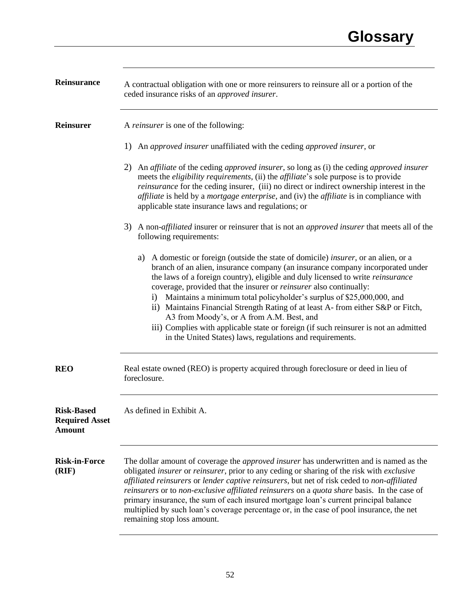| Reinsurance                                                 | A contractual obligation with one or more reinsurers to reinsure all or a portion of the<br>ceded insurance risks of an approved insurer.                                                                                                                                                                                                                                                                                                                                                                                                                                                                                                                                                                          |
|-------------------------------------------------------------|--------------------------------------------------------------------------------------------------------------------------------------------------------------------------------------------------------------------------------------------------------------------------------------------------------------------------------------------------------------------------------------------------------------------------------------------------------------------------------------------------------------------------------------------------------------------------------------------------------------------------------------------------------------------------------------------------------------------|
| <b>Reinsurer</b>                                            | A reinsurer is one of the following:                                                                                                                                                                                                                                                                                                                                                                                                                                                                                                                                                                                                                                                                               |
|                                                             | 1)<br>An approved insurer unaffiliated with the ceding approved insurer, or                                                                                                                                                                                                                                                                                                                                                                                                                                                                                                                                                                                                                                        |
|                                                             | An affiliate of the ceding approved insurer, so long as (i) the ceding approved insurer<br>2)<br>meets the <i>eligibility requirements</i> , (ii) the <i>affiliate</i> 's sole purpose is to provide<br>reinsurance for the ceding insurer, (iii) no direct or indirect ownership interest in the<br><i>affiliate</i> is held by a <i>mortgage enterprise</i> , and (iv) the <i>affiliate</i> is in compliance with<br>applicable state insurance laws and regulations; or                                                                                                                                                                                                                                         |
|                                                             | 3) A non- <i>affiliated</i> insurer or reinsurer that is not an <i>approved insurer</i> that meets all of the<br>following requirements:                                                                                                                                                                                                                                                                                                                                                                                                                                                                                                                                                                           |
|                                                             | A domestic or foreign (outside the state of domicile) <i>insurer</i> , or an alien, or a<br>a)<br>branch of an alien, insurance company (an insurance company incorporated under<br>the laws of a foreign country), eligible and duly licensed to write reinsurance<br>coverage, provided that the insurer or <i>reinsurer</i> also continually:<br>i) Maintains a minimum total policyholder's surplus of \$25,000,000, and<br>ii) Maintains Financial Strength Rating of at least A- from either S&P or Fitch,<br>A3 from Moody's, or A from A.M. Best, and<br>iii) Complies with applicable state or foreign (if such reinsurer is not an admitted<br>in the United States) laws, regulations and requirements. |
| <b>REO</b>                                                  | Real estate owned (REO) is property acquired through foreclosure or deed in lieu of<br>foreclosure.                                                                                                                                                                                                                                                                                                                                                                                                                                                                                                                                                                                                                |
| <b>Risk-Based</b><br><b>Required Asset</b><br><b>Amount</b> | As defined in Exhibit A                                                                                                                                                                                                                                                                                                                                                                                                                                                                                                                                                                                                                                                                                            |
| <b>Risk-in-Force</b><br>(RIF)                               | The dollar amount of coverage the <i>approved insurer</i> has underwritten and is named as the<br>obligated insurer or reinsurer, prior to any ceding or sharing of the risk with exclusive<br>affiliated reinsurers or lender captive reinsurers, but net of risk ceded to non-affiliated<br>reinsurers or to non-exclusive affiliated reinsurers on a quota share basis. In the case of<br>primary insurance, the sum of each insured mortgage loan's current principal balance<br>multiplied by such loan's coverage percentage or, in the case of pool insurance, the net<br>remaining stop loss amount.                                                                                                       |